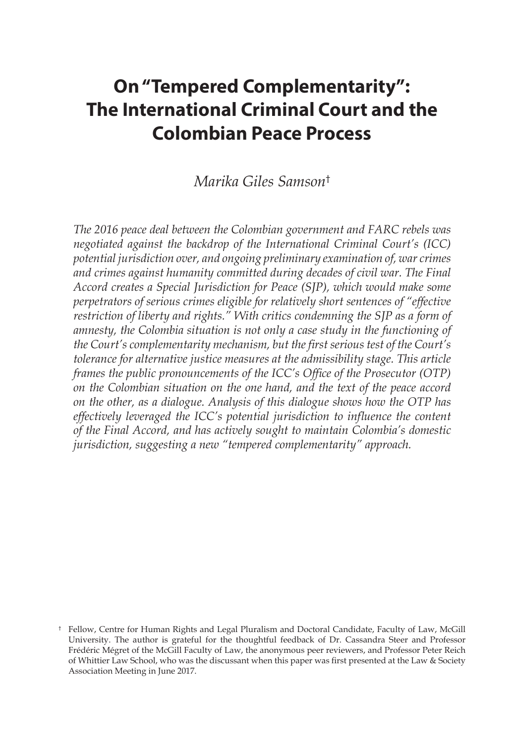# **On "Tempered Complementarity": The International Criminal Court and the Colombian Peace Process**

#### *Marika Giles Samson*†

*The 2016 peace deal between the Colombian government and FARC rebels was negotiated against the backdrop of the International Criminal Court's (ICC) potential jurisdiction over, and ongoing preliminary examination of, war crimes and crimes against humanity committed during decades of civil war. The Final Accord creates a Special Jurisdiction for Peace (SJP), which would make some perpetrators of serious crimes eligible for relatively short sentences of "effective restriction of liberty and rights." With critics condemning the SJP as a form of amnesty, the Colombia situation is not only a case study in the functioning of the Court's complementarity mechanism, but the first serious test of the Court's tolerance for alternative justice measures at the admissibility stage. This article frames the public pronouncements of the ICC's Office of the Prosecutor (OTP) on the Colombian situation on the one hand, and the text of the peace accord on the other, as a dialogue. Analysis of this dialogue shows how the OTP has effectively leveraged the ICC's potential jurisdiction to influence the content of the Final Accord, and has actively sought to maintain Colombia's domestic jurisdiction, suggesting a new "tempered complementarity" approach.* 

<sup>†</sup> Fellow, Centre for Human Rights and Legal Pluralism and Doctoral Candidate, Faculty of Law, McGill University. The author is grateful for the thoughtful feedback of Dr. Cassandra Steer and Professor Frédéric Mégret of the McGill Faculty of Law, the anonymous peer reviewers, and Professor Peter Reich of Whittier Law School, who was the discussant when this paper was first presented at the Law & Society Association Meeting in June 2017.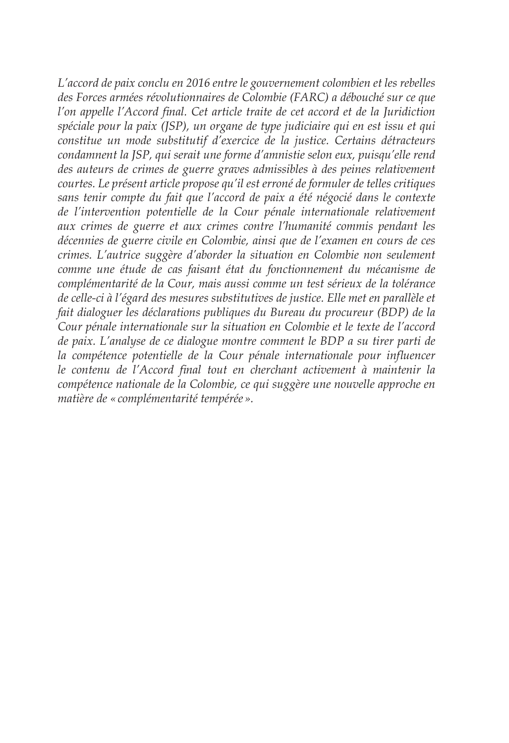*L'accord de paix conclu en 2016 entre le gouvernement colombien et les rebelles des Forces armées révolutionnaires de Colombie (FARC) a débouché sur ce que l'on appelle l'Accord final. Cet article traite de cet accord et de la Juridiction spéciale pour la paix (JSP), un organe de type judiciaire qui en est issu et qui constitue un mode substitutif d'exercice de la justice. Certains détracteurs condamnent la JSP, qui serait une forme d'amnistie selon eux, puisqu'elle rend des auteurs de crimes de guerre graves admissibles à des peines relativement courtes. Le présent article propose qu'il est erroné de formuler de telles critiques sans tenir compte du fait que l'accord de paix a été négocié dans le contexte de l'intervention potentielle de la Cour pénale internationale relativement aux crimes de guerre et aux crimes contre l'humanité commis pendant les décennies de guerre civile en Colombie, ainsi que de l'examen en cours de ces crimes. L'autrice suggère d'aborder la situation en Colombie non seulement comme une étude de cas faisant état du fonctionnement du mécanisme de complémentarité de la Cour, mais aussi comme un test sérieux de la tolérance de celle-ci à l'égard des mesures substitutives de justice. Elle met en parallèle et fait dialoguer les déclarations publiques du Bureau du procureur (BDP) de la Cour pénale internationale sur la situation en Colombie et le texte de l'accord de paix. L'analyse de ce dialogue montre comment le BDP a su tirer parti de la compétence potentielle de la Cour pénale internationale pour influencer le contenu de l'Accord final tout en cherchant activement à maintenir la compétence nationale de la Colombie, ce qui suggère une nouvelle approche en matière de «complémentarité tempérée ».*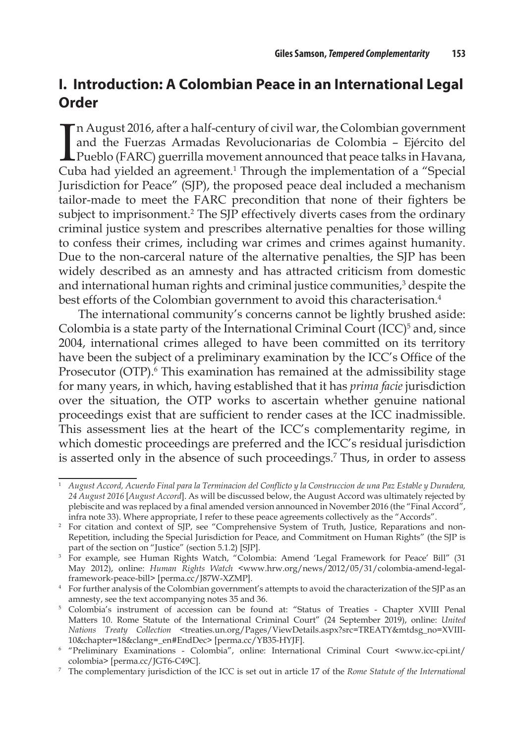## **I. Introduction: A Colombian Peace in an International Legal Order**

I n August 2016, after a half-century of civil war, the Colombian government and the Fuerzas Armadas Revolucionarias de Colombia – Ejército del Pueblo (FARC) guerrilla movement announced that peace talks in Havana, Cuba had yielded an agreement.<sup>1</sup> Through the implementation of a "Special Jurisdiction for Peace" (SJP), the proposed peace deal included a mechanism tailor-made to meet the FARC precondition that none of their fighters be subject to imprisonment.<sup>2</sup> The SJP effectively diverts cases from the ordinary criminal justice system and prescribes alternative penalties for those willing to confess their crimes, including war crimes and crimes against humanity. Due to the non-carceral nature of the alternative penalties, the SJP has been widely described as an amnesty and has attracted criticism from domestic and international human rights and criminal justice communities, $^3$  despite the best efforts of the Colombian government to avoid this characterisation.<sup>4</sup>

The international community's concerns cannot be lightly brushed aside: Colombia is a state party of the International Criminal Court  $(ICC)^5$  and, since 2004, international crimes alleged to have been committed on its territory have been the subject of a preliminary examination by the ICC's Office of the Prosecutor (OTP).<sup>6</sup> This examination has remained at the admissibility stage for many years, in which, having established that it has *prima facie* jurisdiction over the situation, the OTP works to ascertain whether genuine national proceedings exist that are sufficient to render cases at the ICC inadmissible. This assessment lies at the heart of the ICC's complementarity regime, in which domestic proceedings are preferred and the ICC's residual jurisdiction is asserted only in the absence of such proceedings.<sup>7</sup> Thus, in order to assess

<sup>1</sup> *August Accord, Acuerdo Final para la Terminacion del Conflicto y la Construccion de una Paz Estable y Duradera, 24 August 2016* [*August Accord*]. As will be discussed below, the August Accord was ultimately rejected by plebiscite and was replaced by a final amended version announced in November 2016 (the "Final Accord", infra note 33). Where appropriate, I refer to these peace agreements collectively as the "Accords".

<sup>&</sup>lt;sup>2</sup> For citation and context of SJP, see "Comprehensive System of Truth, Justice, Reparations and non-Repetition, including the Special Jurisdiction for Peace, and Commitment on Human Rights" (the SJP is part of the section on "Justice" (section 5.1.2) [SJP].

<sup>&</sup>lt;sup>3</sup> For example, see Human Rights Watch, "Colombia: Amend 'Legal Framework for Peace' Bill" (31 May 2012), online: *Human Rights Watch* <www.hrw.org/news/2012/05/31/colombia-amend-legalframework-peace-bill> [perma.cc/J87W-XZMP].

<sup>4</sup> For further analysis of the Colombian government's attempts to avoid the characterization of the SJP as an amnesty, see the text accompanying notes 35 and 36.

<sup>5</sup> Colombia's instrument of accession can be found at: "Status of Treaties - Chapter XVIII Penal Matters 10. Rome Statute of the International Criminal Court" (24 September 2019), online: *United Nations Treaty Collection* <treaties.un.org/Pages/ViewDetails.aspx?src=TREATY&mtdsg\_no=XVIII-10&chapter=18&clang=\_en#EndDec> [perma.cc/YB35-HYJF].

<sup>6</sup> "Preliminary Examinations - Colombia", online: International Criminal Court <www.icc-cpi.int/

colombia> [perma.cc/JGT6-C49C]. 7 The complementary jurisdiction of the ICC is set out in article 17 of the *Rome Statute of the International*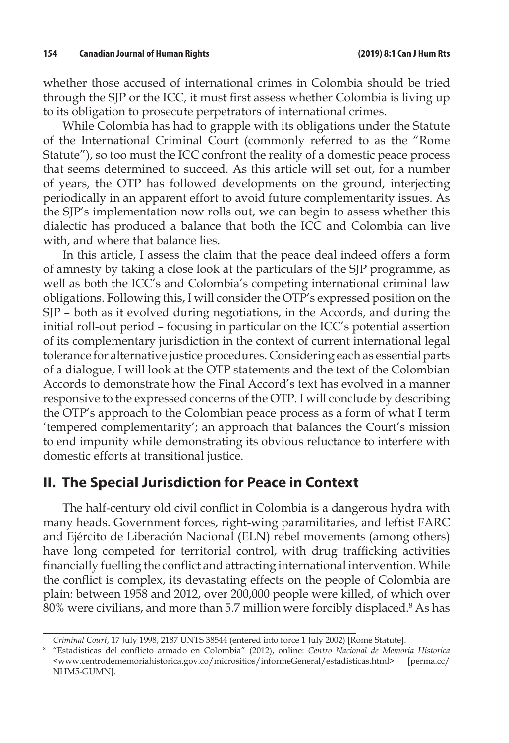whether those accused of international crimes in Colombia should be tried through the SJP or the ICC, it must first assess whether Colombia is living up to its obligation to prosecute perpetrators of international crimes.

While Colombia has had to grapple with its obligations under the Statute of the International Criminal Court (commonly referred to as the "Rome Statute"), so too must the ICC confront the reality of a domestic peace process that seems determined to succeed. As this article will set out, for a number of years, the OTP has followed developments on the ground, interjecting periodically in an apparent effort to avoid future complementarity issues. As the SJP's implementation now rolls out, we can begin to assess whether this dialectic has produced a balance that both the ICC and Colombia can live with, and where that balance lies.

In this article, I assess the claim that the peace deal indeed offers a form of amnesty by taking a close look at the particulars of the SJP programme, as well as both the ICC's and Colombia's competing international criminal law obligations. Following this, I will consider the OTP's expressed position on the SJP – both as it evolved during negotiations, in the Accords, and during the initial roll-out period – focusing in particular on the ICC's potential assertion of its complementary jurisdiction in the context of current international legal tolerance for alternative justice procedures. Considering each as essential parts of a dialogue, I will look at the OTP statements and the text of the Colombian Accords to demonstrate how the Final Accord's text has evolved in a manner responsive to the expressed concerns of the OTP. I will conclude by describing the OTP's approach to the Colombian peace process as a form of what I term 'tempered complementarity'; an approach that balances the Court's mission to end impunity while demonstrating its obvious reluctance to interfere with domestic efforts at transitional justice.

### **II. The Special Jurisdiction for Peace in Context**

The half-century old civil conflict in Colombia is a dangerous hydra with many heads. Government forces, right-wing paramilitaries, and leftist FARC and Ejército de Liberación Nacional (ELN) rebel movements (among others) have long competed for territorial control, with drug trafficking activities financially fuelling the conflict and attracting international intervention. While the conflict is complex, its devastating effects on the people of Colombia are plain: between 1958 and 2012, over 200,000 people were killed, of which over  $80\%$  were civilians, and more than 5.7 million were forcibly displaced. $8$  As has

*Criminal Court*, 17 July 1998, 2187 UNTS 38544 (entered into force 1 July 2002) [Rome Statute].

<sup>8</sup> "Estadisticas del conflicto armado en Colombia" (2012), online: *Centro Nacional de Memoria Historica*  <www.centrodememoriahistorica.gov.co/micrositios/informeGeneral/estadisticas.html> [perma.cc/ NHM5-GUMN].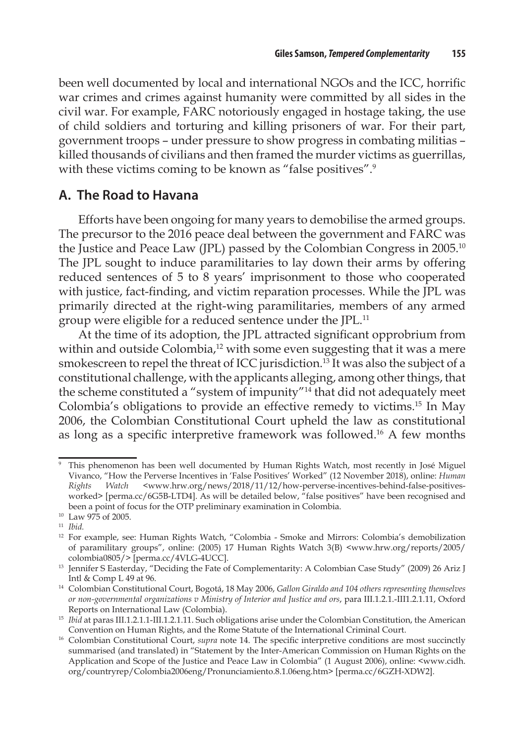been well documented by local and international NGOs and the ICC, horrific war crimes and crimes against humanity were committed by all sides in the civil war. For example, FARC notoriously engaged in hostage taking, the use of child soldiers and torturing and killing prisoners of war. For their part, government troops – under pressure to show progress in combating militias – killed thousands of civilians and then framed the murder victims as guerrillas, with these victims coming to be known as "false positives".<sup>9</sup>

#### **A. The Road to Havana**

Efforts have been ongoing for many years to demobilise the armed groups. The precursor to the 2016 peace deal between the government and FARC was the Justice and Peace Law (JPL) passed by the Colombian Congress in 2005.<sup>10</sup> The JPL sought to induce paramilitaries to lay down their arms by offering reduced sentences of 5 to 8 years' imprisonment to those who cooperated with justice, fact-finding, and victim reparation processes. While the JPL was primarily directed at the right-wing paramilitaries, members of any armed group were eligible for a reduced sentence under the JPL.<sup>11</sup>

At the time of its adoption, the JPL attracted significant opprobrium from within and outside Colombia,<sup>12</sup> with some even suggesting that it was a mere smokescreen to repel the threat of ICC jurisdiction.<sup>13</sup> It was also the subject of a constitutional challenge, with the applicants alleging, among other things, that the scheme constituted a "system of impunity"14 that did not adequately meet Colombia's obligations to provide an effective remedy to victims.15 In May 2006, the Colombian Constitutional Court upheld the law as constitutional as long as a specific interpretive framework was followed.16 A few months

<sup>9</sup> This phenomenon has been well documented by Human Rights Watch, most recently in José Miguel Vivanco, "How the Perverse Incentives in 'False Positives' Worked" (12 November 2018), online: *Human Rights Watch* <www.hrw.org/news/2018/11/12/how-perverse-incentives-behind-false-positivesworked> [perma.cc/6G5B-LTD4]. As will be detailed below, "false positives" have been recognised and been a point of focus for the OTP preliminary examination in Colombia.

<sup>10</sup> Law 975 of 2005. 11 *Ibid.*

<sup>&</sup>lt;sup>12</sup> For example, see: Human Rights Watch, "Colombia - Smoke and Mirrors: Colombia's demobilization of paramilitary groups", online: (2005) 17 Human Rights Watch 3(B) <www.hrw.org/reports/2005/

<sup>&</sup>lt;sup>13</sup> Jennifer S Easterday, "Deciding the Fate of Complementarity: A Colombian Case Study" (2009) 26 Ariz J Intl & Comp L 49 at 96.

<sup>14</sup> Colombian Constitutional Court, Bogotá, 18 May 2006, *Gallon Giraldo and 104 others representing themselves or non-governmental organizations v Ministry of Interior and Justice and ors*, para III.1.2.1.-III1.2.1.11, Oxford Reports on International Law (Colombia).

<sup>&</sup>lt;sup>15</sup> *Ibid* at paras III.1.2.1.1-III.1.2.1.11. Such obligations arise under the Colombian Constitution, the American Convention on Human Rights, and the Rome Statute of the International Criminal Court.

<sup>&</sup>lt;sup>16</sup> Colombian Constitutional Court, *supra* note 14. The specific interpretive conditions are most succinctly summarised (and translated) in "Statement by the Inter-American Commission on Human Rights on the Application and Scope of the Justice and Peace Law in Colombia" (1 August 2006), online: <www.cidh. org/countryrep/Colombia2006eng/Pronunciamiento.8.1.06eng.htm> [perma.cc/6GZH-XDW2].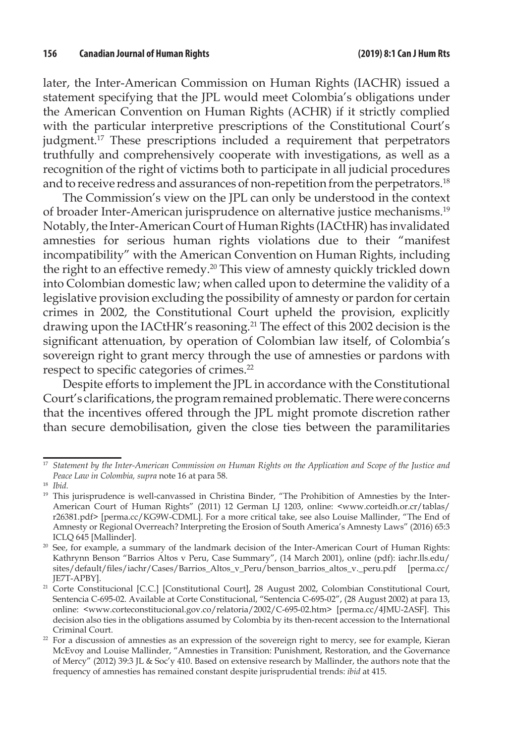later, the Inter-American Commission on Human Rights (IACHR) issued a statement specifying that the JPL would meet Colombia's obligations under the American Convention on Human Rights (ACHR) if it strictly complied with the particular interpretive prescriptions of the Constitutional Court's judgment.<sup>17</sup> These prescriptions included a requirement that perpetrators truthfully and comprehensively cooperate with investigations, as well as a recognition of the right of victims both to participate in all judicial procedures and to receive redress and assurances of non-repetition from the perpetrators.<sup>18</sup>

The Commission's view on the JPL can only be understood in the context of broader Inter-American jurisprudence on alternative justice mechanisms.19 Notably, the Inter-American Court of Human Rights (IACtHR) has invalidated amnesties for serious human rights violations due to their "manifest incompatibility" with the American Convention on Human Rights, including the right to an effective remedy.20 This view of amnesty quickly trickled down into Colombian domestic law; when called upon to determine the validity of a legislative provision excluding the possibility of amnesty or pardon for certain crimes in 2002, the Constitutional Court upheld the provision, explicitly drawing upon the IACtHR's reasoning.<sup>21</sup> The effect of this 2002 decision is the significant attenuation, by operation of Colombian law itself, of Colombia's sovereign right to grant mercy through the use of amnesties or pardons with respect to specific categories of crimes.<sup>22</sup>

Despite efforts to implement the JPL in accordance with the Constitutional Court's clarifications, the program remained problematic. There were concerns that the incentives offered through the JPL might promote discretion rather than secure demobilisation, given the close ties between the paramilitaries

<sup>17</sup> *Statement by the Inter-American Commission on Human Rights on the Application and Scope of the Justice and Peace Law in Colombia, supra* note 16 at para 58.

<sup>18</sup> *Ibid.*

<sup>&</sup>lt;sup>19</sup> This jurisprudence is well-canvassed in Christina Binder, "The Prohibition of Amnesties by the Inter-American Court of Human Rights" (2011) 12 German LJ 1203, online: <www.corteidh.or.cr/tablas/ r26381.pdf> [perma.cc/KG9W-CDML]. For a more critical take, see also Louise Mallinder, "The End of Amnesty or Regional Overreach? Interpreting the Erosion of South America's Amnesty Laws" (2016) 65:3 ICLQ 645 [Mallinder].

<sup>&</sup>lt;sup>20</sup> See, for example, a summary of the landmark decision of the Inter-American Court of Human Rights: Kathrynn Benson "Barrios Altos v Peru, Case Summary", (14 March 2001), online (pdf): iachr.lls.edu/ sites/default/files/iachr/Cases/Barrios\_Altos\_v\_Peru/benson\_barrios\_altos\_v.\_peru.pdf [perma.cc/ JE7T-APBY].

<sup>&</sup>lt;sup>21</sup> Corte Constitucional [C.C.] [Constitutional Court], 28 August 2002, Colombian Constitutional Court, Sentencia C-695-02. Available at Corte Constitucional, "Sentencia C-695-02", (28 August 2002) at para 13, online: <www.corteconstitucional.gov.co/relatoria/2002/C-695-02.htm> [perma.cc/4JMU-2ASF]. This decision also ties in the obligations assumed by Colombia by its then-recent accession to the International Criminal Court.

 $22$  For a discussion of amnesties as an expression of the sovereign right to mercy, see for example, Kieran McEvoy and Louise Mallinder, "Amnesties in Transition: Punishment, Restoration, and the Governance of Mercy" (2012) 39:3 JL & Soc'y 410. Based on extensive research by Mallinder, the authors note that the frequency of amnesties has remained constant despite jurisprudential trends: *ibid* at 415.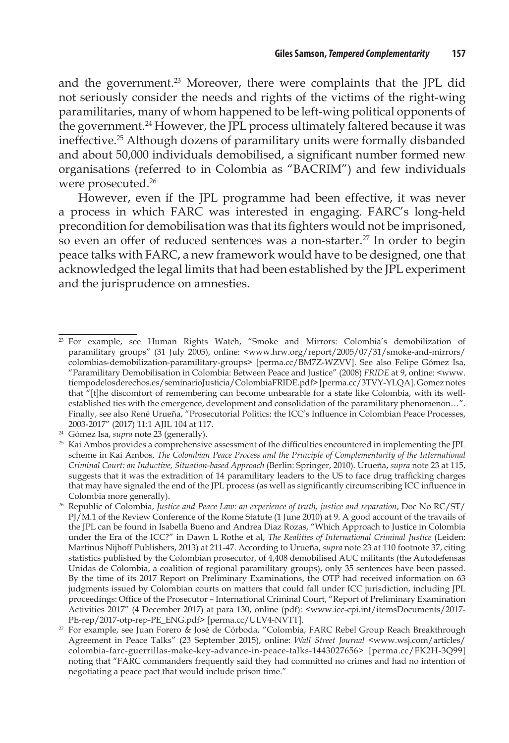and the government.<sup>23</sup> Moreover, there were complaints that the JPL did not seriously consider the needs and rights of the victims of the right-wing paramilitaries, many of whom happened to be left-wing political opponents of the government.24 However, the JPL process ultimately faltered because it was ineffective.25 Although dozens of paramilitary units were formally disbanded and about 50,000 individuals demobilised, a significant number formed new organisations (referred to in Colombia as "BACRIM") and few individuals were prosecuted.<sup>26</sup>

However, even if the JPL programme had been effective, it was never a process in which FARC was interested in engaging. FARC's long-held precondition for demobilisation was that its fighters would not be imprisoned, so even an offer of reduced sentences was a non-starter.<sup>27</sup> In order to begin peace talks with FARC, a new framework would have to be designed, one that acknowledged the legal limits that had been established by the JPL experiment and the jurisprudence on amnesties.

<sup>23</sup> For example, see Human Rights Watch, "Smoke and Mirrors: Colombia's demobilization of paramilitary groups" (31 July 2005), online: <www.hrw.org/report/2005/07/31/smoke-and-mirrors/ colombias-demobilization-paramilitary-groups> [perma.cc/BM7Z-WZVV]. See also Felipe Gómez Isa, "Paramilitary Demobilisation in Colombia: Between Peace and Justice" (2008) *FRIDE* at 9, online: <www. tiempodelosderechos.es/seminarioJusticia/ColombiaFRIDE.pdf> [perma.cc/3TVY-YLQA]. Gomez notes that "[t]he discomfort of remembering can become unbearable for a state like Colombia, with its wellestablished ties with the emergence, development and consolidation of the paramilitary phenomenon…". Finally, see also René Urueña, "Prosecutorial Politics: the ICC's Influence in Colombian Peace Processes, 2003-2017" (2017) 11:1 AJIL 104 at 117.

<sup>24</sup> Gómez Isa, *supra* note 23 (generally).

 $25$  Kai Ambos provides a comprehensive assessment of the difficulties encountered in implementing the JPL scheme in Kai Ambos, *The Colombian Peace Process and the Principle of Complementarity of the International Criminal Court: an Inductive, Situation-based Approach* (Berlin: Springer, 2010). Urueña, *supra* note 23 at 115, suggests that it was the extradition of 14 paramilitary leaders to the US to face drug trafficking charges that may have signaled the end of the JPL process (as well as significantly circumscribing ICC influence in Colombia more generally).

<sup>26</sup> Republic of Colombia, *Justice and Peace Law: an experience of truth, justice and reparation*, Doc No RC/ST/ PJ/M.1 of the Review Conference of the Rome Statute (1 June 2010) at 9. A good account of the travails of the JPL can be found in Isabella Bueno and Andrea Diaz Rozas, "Which Approach to Justice in Colombia under the Era of the ICC?" in Dawn L Rothe et al, *The Realities of International Criminal Justice* (Leiden: Martinus Nijhoff Publishers, 2013) at 211-47. According to Urueña, *supra* note 23 at 110 footnote 37, citing statistics published by the Colombian prosecutor, of 4,408 demobilised AUC militants (the Autodefensas Unidas de Colombia, a coalition of regional paramilitary groups), only 35 sentences have been passed. By the time of its 2017 Report on Preliminary Examinations, the OTP had received information on 63 judgments issued by Colombian courts on matters that could fall under ICC jurisdiction, including JPL proceedings: Office of the Prosecutor – International Criminal Court, "Report of Preliminary Examination Activities 2017" (4 December 2017) at para 130, online (pdf): <www.icc-cpi.int/itemsDocuments/2017- PE-rep/2017-otp-rep-PE\_ENG.pdf> [perma.cc/ULV4-NVTT].

<sup>27</sup> For example, see Juan Forero & José de Córboda, "Colombia, FARC Rebel Group Reach Breakthrough Agreement in Peace Talks" (23 September 2015), online: *Wall Street Journal* <www.wsj.com/articles/ colombia-farc-guerrillas-make-key-advance-in-peace-talks-1443027656> [perma.cc/FK2H-3Q99] noting that "FARC commanders frequently said they had committed no crimes and had no intention of negotiating a peace pact that would include prison time."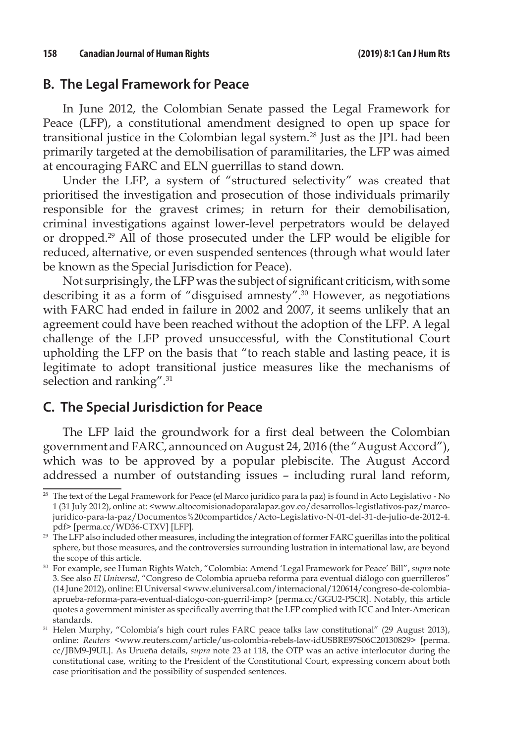#### **B. The Legal Framework for Peace**

In June 2012, the Colombian Senate passed the Legal Framework for Peace (LFP), a constitutional amendment designed to open up space for transitional justice in the Colombian legal system.28 Just as the JPL had been primarily targeted at the demobilisation of paramilitaries, the LFP was aimed at encouraging FARC and ELN guerrillas to stand down.

Under the LFP, a system of "structured selectivity" was created that prioritised the investigation and prosecution of those individuals primarily responsible for the gravest crimes; in return for their demobilisation, criminal investigations against lower-level perpetrators would be delayed or dropped.29 All of those prosecuted under the LFP would be eligible for reduced, alternative, or even suspended sentences (through what would later be known as the Special Jurisdiction for Peace).

Not surprisingly, the LFP was the subject of significant criticism, with some describing it as a form of "disguised amnesty".30 However, as negotiations with FARC had ended in failure in 2002 and 2007, it seems unlikely that an agreement could have been reached without the adoption of the LFP. A legal challenge of the LFP proved unsuccessful, with the Constitutional Court upholding the LFP on the basis that "to reach stable and lasting peace, it is legitimate to adopt transitional justice measures like the mechanisms of selection and ranking".<sup>31</sup>

#### **C. The Special Jurisdiction for Peace**

The LFP laid the groundwork for a first deal between the Colombian government and FARC, announced on August 24, 2016 (the "August Accord"), which was to be approved by a popular plebiscite. The August Accord addressed a number of outstanding issues – including rural land reform,

<sup>28</sup> The text of the Legal Framework for Peace (el Marco jurídico para la paz) is found in Acto Legislativo - No 1 (31 July 2012), online at: <www.altocomisionadoparalapaz.gov.co/desarrollos-legistlativos-paz/marcojuridico-para-la-paz/Documentos%20compartidos/Acto-Legislativo-N-01-del-31-de-julio-de-2012-4. pdf> [perma.cc/WD36-CTXV] [LFP].

<sup>&</sup>lt;sup>29</sup> The LFP also included other measures, including the integration of former FARC guerillas into the political sphere, but those measures, and the controversies surrounding lustration in international law, are beyond the scope of this article.

<sup>30</sup> For example, see Human Rights Watch, "Colombia: Amend 'Legal Framework for Peace' Bill", *supra* note 3. See also *El Universal*, "Congreso de Colombia aprueba reforma para eventual diálogo con guerrilleros" (14 June 2012), online: El Universal <www.eluniversal.com/internacional/120614/congreso-de-colombiaaprueba-reforma-para-eventual-dialogo-con-guerril-imp> [perma.cc/GGU2-P5CR]. Notably, this article quotes a government minister as specifically averring that the LFP complied with ICC and Inter-American standards.

<sup>&</sup>lt;sup>31</sup> Helen Murphy, "Colombia's high court rules FARC peace talks law constitutional" (29 August 2013), online: *Reuters* <www.reuters.com/article/us-colombia-rebels-law-idUSBRE97S06C20130829> [perma. cc/JBM9-J9UL]. As Urueña details, *supra* note 23 at 118, the OTP was an active interlocutor during the constitutional case, writing to the President of the Constitutional Court, expressing concern about both case prioritisation and the possibility of suspended sentences.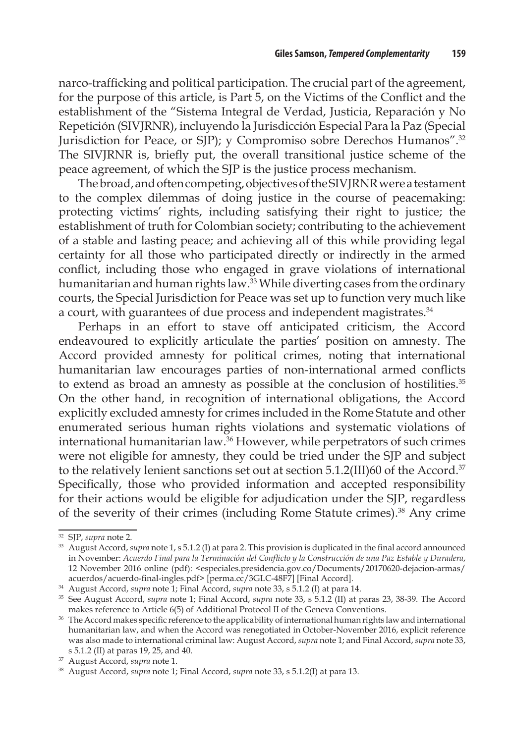narco-trafficking and political participation. The crucial part of the agreement, for the purpose of this article, is Part 5, on the Victims of the Conflict and the establishment of the "Sistema Integral de Verdad, Justicia, Reparación y No Repetición (SIVJRNR), incluyendo la Jurisdicción Especial Para la Paz (Special Jurisdiction for Peace, or SJP); y Compromiso sobre Derechos Humanos".<sup>32</sup> The SIVJRNR is, briefly put, the overall transitional justice scheme of the peace agreement, of which the SJP is the justice process mechanism.

The broad, and often competing, objectives of the SIVJRNR were a testament to the complex dilemmas of doing justice in the course of peacemaking: protecting victims' rights, including satisfying their right to justice; the establishment of truth for Colombian society; contributing to the achievement of a stable and lasting peace; and achieving all of this while providing legal certainty for all those who participated directly or indirectly in the armed conflict, including those who engaged in grave violations of international humanitarian and human rights law.<sup>33</sup> While diverting cases from the ordinary courts, the Special Jurisdiction for Peace was set up to function very much like a court, with guarantees of due process and independent magistrates.<sup>34</sup>

Perhaps in an effort to stave off anticipated criticism, the Accord endeavoured to explicitly articulate the parties' position on amnesty. The Accord provided amnesty for political crimes, noting that international humanitarian law encourages parties of non-international armed conflicts to extend as broad an amnesty as possible at the conclusion of hostilities.<sup>35</sup> On the other hand, in recognition of international obligations, the Accord explicitly excluded amnesty for crimes included in the Rome Statute and other enumerated serious human rights violations and systematic violations of international humanitarian law.36 However, while perpetrators of such crimes were not eligible for amnesty, they could be tried under the SJP and subject to the relatively lenient sanctions set out at section 5.1.2(III)60 of the Accord.<sup>37</sup> Specifically, those who provided information and accepted responsibility for their actions would be eligible for adjudication under the SJP, regardless of the severity of their crimes (including Rome Statute crimes).38 Any crime

<sup>32</sup> SJP, *supra* note 2.

<sup>33</sup> August Accord, *supra* note 1, s 5.1.2 (I) at para 2. This provision is duplicated in the final accord announced in November: *Acuerdo Final para la Terminación del Conflicto y la Construcción de una Paz Estable y Duradera*, 12 November 2016 online (pdf): <especiales.presidencia.gov.co/Documents/20170620-dejacion-armas/ acuerdos/acuerdo-final-ingles.pdf> [perma.cc/3GLC-48F7] [Final Accord].

<sup>34</sup> August Accord, *supra* note 1; Final Accord, *supra* note 33, s 5.1.2 (I) at para 14.

<sup>35</sup> See August Accord, *supra* note 1; Final Accord, *supra* note 33, s 5.1.2 (II) at paras 23, 38-39. The Accord makes reference to Article 6(5) of Additional Protocol II of the Geneva Conventions.

<sup>36</sup> The Accord makes specific reference to the applicability of international human rights law and international humanitarian law, and when the Accord was renegotiated in October-November 2016, explicit reference was also made to international criminal law: August Accord, *supra* note 1; and Final Accord, *supra* note 33,

s 5.1.2 (II) at paras 19, 25, and 40.<br><sup>37</sup> August Accord, *supra* note 1.

<sup>&</sup>lt;sup>38</sup> August Accord, *supra* note 1; Final Accord, *supra* note 33, s 5.1.2(I) at para 13.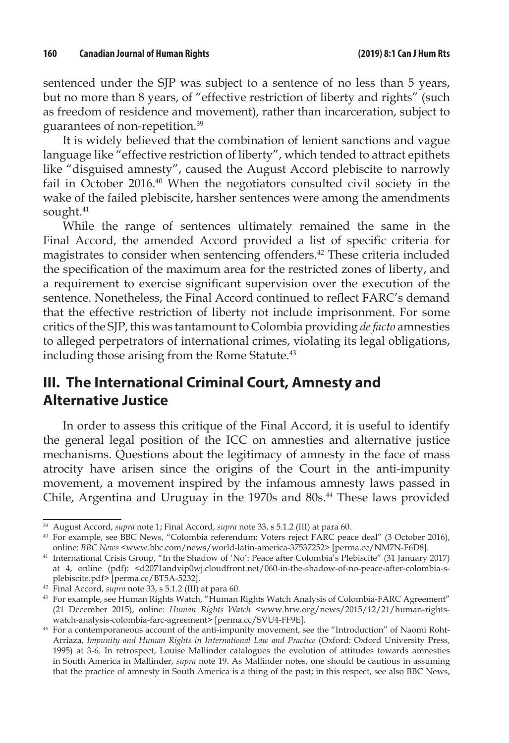sentenced under the SJP was subject to a sentence of no less than 5 years, but no more than 8 years, of "effective restriction of liberty and rights" (such as freedom of residence and movement), rather than incarceration, subject to guarantees of non-repetition.39

It is widely believed that the combination of lenient sanctions and vague language like "effective restriction of liberty", which tended to attract epithets like "disguised amnesty", caused the August Accord plebiscite to narrowly fail in October 2016.40 When the negotiators consulted civil society in the wake of the failed plebiscite, harsher sentences were among the amendments sought.<sup>41</sup>

While the range of sentences ultimately remained the same in the Final Accord, the amended Accord provided a list of specific criteria for magistrates to consider when sentencing offenders.42 These criteria included the specification of the maximum area for the restricted zones of liberty, and a requirement to exercise significant supervision over the execution of the sentence. Nonetheless, the Final Accord continued to reflect FARC's demand that the effective restriction of liberty not include imprisonment. For some critics of the SJP, this was tantamount to Colombia providing *de facto* amnesties to alleged perpetrators of international crimes, violating its legal obligations, including those arising from the Rome Statute.<sup>43</sup>

## **III. The International Criminal Court, Amnesty and Alternative Justice**

In order to assess this critique of the Final Accord, it is useful to identify the general legal position of the ICC on amnesties and alternative justice mechanisms. Questions about the legitimacy of amnesty in the face of mass atrocity have arisen since the origins of the Court in the anti-impunity movement, a movement inspired by the infamous amnesty laws passed in Chile, Argentina and Uruguay in the 1970s and 80s.<sup>44</sup> These laws provided

<sup>39</sup> August Accord, *supra* note 1; Final Accord, *supra* note 33, s 5.1.2 (III) at para 60.

<sup>40</sup> For example, see BBC News, "Colombia referendum: Voters reject FARC peace deal" (3 October 2016), online: *BBC News* <www.bbc.com/news/world-latin-america-37537252> [perma.cc/NM7N-F6D8].

<sup>&</sup>lt;sup>41</sup> International Crisis Group, "In the Shadow of 'No': Peace after Colombia's Plebiscite" (31 January 2017) at 4, online (pdf): <d2071andvip0wj.cloudfront.net/060-in-the-shadow-of-no-peace-after-colombia-splebiscite.pdf> [perma.cc/BT5A-5232].

<sup>42</sup> Final Accord, *supra* note 33, s 5.1.2 (III) at para 60.

<sup>43</sup> For example, see Human Rights Watch, "Human Rights Watch Analysis of Colombia-FARC Agreement" (21 December 2015), online: *Human Rights Watch* <www.hrw.org/news/2015/12/21/human-rights-

watch-analysis-colombia-farc-agreement> [perma.cc/SVU4-FF9E].<br><sup>44</sup> For a contemporaneous account of the anti-impunity movement, see the "Introduction" of Naomi Roht-Arriaza, *Impunity and Human Rights in International Law and Practice* (Oxford: Oxford University Press, 1995) at 3-6. In retrospect, Louise Mallinder catalogues the evolution of attitudes towards amnesties in South America in Mallinder, *supra* note 19. As Mallinder notes, one should be cautious in assuming that the practice of amnesty in South America is a thing of the past; in this respect, see also BBC News,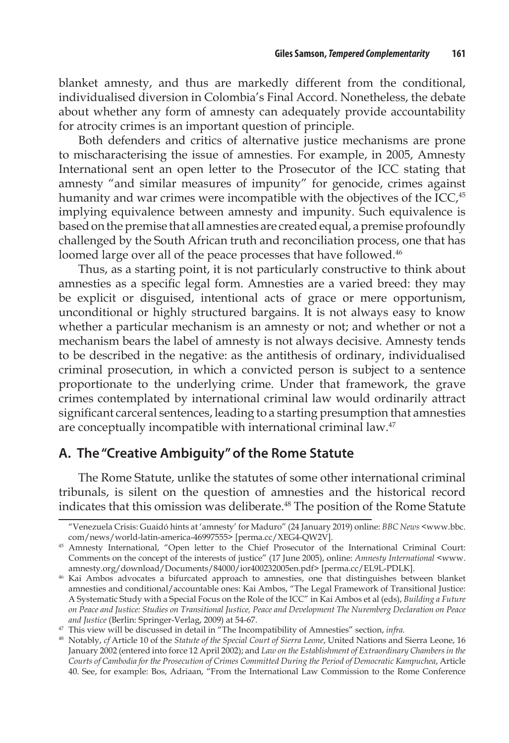blanket amnesty, and thus are markedly different from the conditional, individualised diversion in Colombia's Final Accord. Nonetheless, the debate about whether any form of amnesty can adequately provide accountability for atrocity crimes is an important question of principle.

Both defenders and critics of alternative justice mechanisms are prone to mischaracterising the issue of amnesties. For example, in 2005, Amnesty International sent an open letter to the Prosecutor of the ICC stating that amnesty "and similar measures of impunity" for genocide, crimes against humanity and war crimes were incompatible with the objectives of the ICC,<sup>45</sup> implying equivalence between amnesty and impunity. Such equivalence is based on the premise that all amnesties are created equal, a premise profoundly challenged by the South African truth and reconciliation process, one that has loomed large over all of the peace processes that have followed.<sup>46</sup>

Thus, as a starting point, it is not particularly constructive to think about amnesties as a specific legal form. Amnesties are a varied breed: they may be explicit or disguised, intentional acts of grace or mere opportunism, unconditional or highly structured bargains. It is not always easy to know whether a particular mechanism is an amnesty or not; and whether or not a mechanism bears the label of amnesty is not always decisive. Amnesty tends to be described in the negative: as the antithesis of ordinary, individualised criminal prosecution, in which a convicted person is subject to a sentence proportionate to the underlying crime. Under that framework, the grave crimes contemplated by international criminal law would ordinarily attract significant carceral sentences, leading to a starting presumption that amnesties are conceptually incompatible with international criminal law.<sup>47</sup>

#### **A. The "Creative Ambiguity" of the Rome Statute**

The Rome Statute, unlike the statutes of some other international criminal tribunals, is silent on the question of amnesties and the historical record indicates that this omission was deliberate.<sup>48</sup> The position of the Rome Statute

<sup>&</sup>quot;Venezuela Crisis: Guaidó hints at 'amnesty' for Maduro" (24 January 2019) online: *BBC News* <www.bbc. com/news/world-latin-america-46997555> [perma.cc/XEG4-QW2V].

<sup>&</sup>lt;sup>45</sup> Amnesty International, "Open letter to the Chief Prosecutor of the International Criminal Court: Comments on the concept of the interests of justice" (17 June 2005), online: *Amnesty International* <www. amnesty.org/download/Documents/84000/ior400232005en.pdf> [perma.cc/EL9L-PDLK].

<sup>46</sup> Kai Ambos advocates a bifurcated approach to amnesties, one that distinguishes between blanket amnesties and conditional/accountable ones: Kai Ambos, "The Legal Framework of Transitional Justice: A Systematic Study with a Special Focus on the Role of the ICC" in Kai Ambos et al (eds), *Building a Future on Peace and Justice: Studies on Transitional Justice, Peace and Development The Nuremberg Declaration on Peace and Justice* (Berlin: Springer-Verlag, 2009) at 54-67.

<sup>47</sup> This view will be discussed in detail in "The Incompatibility of Amnesties" section, *infra.*

<sup>48</sup> Notably, *cf* Article 10 of the *Statute of the Special Court of Sierra Leone*, United Nations and Sierra Leone, 16 January 2002 (entered into force 12 April 2002); and *Law on the Establishment of Extraordinary Chambers in the Courts of Cambodia for the Prosecution of Crimes Committed During the Period of Democratic Kampuchea*, Article 40. See, for example: Bos, Adriaan, "From the International Law Commission to the Rome Conference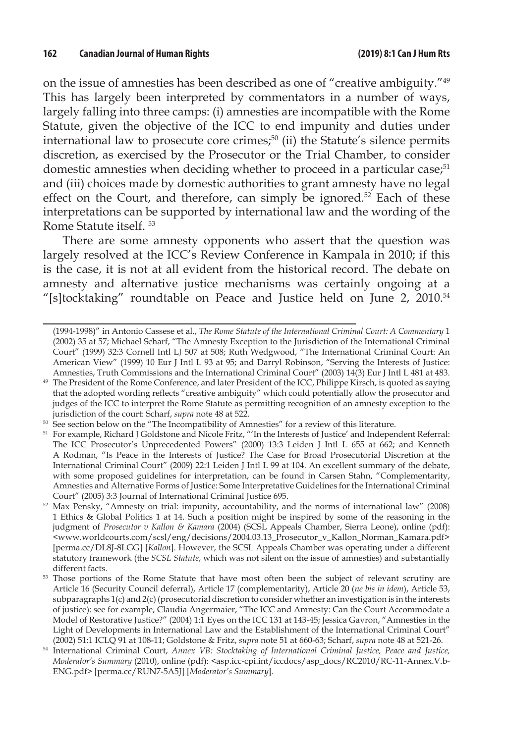on the issue of amnesties has been described as one of "creative ambiguity."49 This has largely been interpreted by commentators in a number of ways, largely falling into three camps: (i) amnesties are incompatible with the Rome Statute, given the objective of the ICC to end impunity and duties under international law to prosecute core crimes;<sup>50</sup> (ii) the Statute's silence permits discretion, as exercised by the Prosecutor or the Trial Chamber, to consider domestic amnesties when deciding whether to proceed in a particular case;<sup>51</sup> and (iii) choices made by domestic authorities to grant amnesty have no legal effect on the Court, and therefore, can simply be ignored.<sup>52</sup> Each of these interpretations can be supported by international law and the wording of the Rome Statute itself. 53

There are some amnesty opponents who assert that the question was largely resolved at the ICC's Review Conference in Kampala in 2010; if this is the case, it is not at all evident from the historical record. The debate on amnesty and alternative justice mechanisms was certainly ongoing at a "[s]tocktaking" roundtable on Peace and Justice held on June 2, 2010.<sup>54</sup>

<sup>50</sup> See section below on the "The Incompatibility of Amnesties" for a review of this literature.

<sup>(1994-1998)&</sup>quot; in Antonio Cassese et al., *The Rome Statute of the International Criminal Court: A Commentary* 1 (2002) 35 at 57; Michael Scharf, "The Amnesty Exception to the Jurisdiction of the International Criminal Court" (1999) 32:3 Cornell Intl LJ 507 at 508; Ruth Wedgwood, "The International Criminal Court: An American View" (1999) 10 Eur J Intl L 93 at 95; and Darryl Robinson, "Serving the Interests of Justice: Amnesties, Truth Commissions and the International Criminal Court" (2003) 14(3) Eur J Intl L 481 at 483.

<sup>49</sup> The President of the Rome Conference, and later President of the ICC, Philippe Kirsch, is quoted as saying that the adopted wording reflects "creative ambiguity" which could potentially allow the prosecutor and judges of the ICC to interpret the Rome Statute as permitting recognition of an amnesty exception to the jurisdiction of the court: Scharf, *supra* note 48 at 522.

<sup>&</sup>lt;sup>51</sup> For example, Richard J Goldstone and Nicole Fritz, "'In the Interests of Justice' and Independent Referral: The ICC Prosecutor's Unprecedented Powers" (2000) 13:3 Leiden J Intl L 655 at 662; and Kenneth A Rodman, "Is Peace in the Interests of Justice? The Case for Broad Prosecutorial Discretion at the International Criminal Court" (2009) 22:1 Leiden J Intl L 99 at 104. An excellent summary of the debate, with some proposed guidelines for interpretation, can be found in Carsen Stahn, "Complementarity, Amnesties and Alternative Forms of Justice: Some Interpretative Guidelines for the International Criminal Court" (2005) 3:3 Journal of International Criminal Justice 695.

<sup>52</sup> Max Pensky, "Amnesty on trial: impunity, accountability, and the norms of international law" (2008) 1 Ethics & Global Politics 1 at 14. Such a position might be inspired by some of the reasoning in the judgment of *Prosecutor v Kallon & Kamara* (2004) (SCSL Appeals Chamber, Sierra Leone), online (pdf): <www.worldcourts.com/scsl/eng/decisions/2004.03.13\_Prosecutor\_v\_Kallon\_Norman\_Kamara.pdf> [perma.cc/DL8J-8LGG] [*Kallon*]. However, the SCSL Appeals Chamber was operating under a different statutory framework (the *SCSL Statute*, which was not silent on the issue of amnesties) and substantially different facts.

<sup>&</sup>lt;sup>53</sup> Those portions of the Rome Statute that have most often been the subject of relevant scrutiny are Article 16 (Security Council deferral), Article 17 (complementarity), Article 20 (*ne bis in idem*), Article 53, subparagraphs 1(c) and 2(c) (prosecutorial discretion to consider whether an investigation is in the interests of justice): see for example, Claudia Angermaier, "The ICC and Amnesty: Can the Court Accommodate a Model of Restorative Justice?" (2004) 1:1 Eyes on the ICC 131 at 143-45; Jessica Gavron, "Amnesties in the Light of Developments in International Law and the Establishment of the International Criminal Court" (2002) 51:1 ICLQ 91 at 108-11; Goldstone & Fritz, *supra* note 51 at 660-63; Scharf, *supra* note 48 at 521-26.

<sup>54</sup> International Criminal Court, *Annex VB: Stocktaking of International Criminal Justice, Peace and Justice, Moderator's Summary* (2010), online (pdf): <asp.icc-cpi.int/iccdocs/asp\_docs/RC2010/RC-11-Annex.V.b-ENG.pdf> [perma.cc/RUN7-5A5J] [*Moderator's Summary*].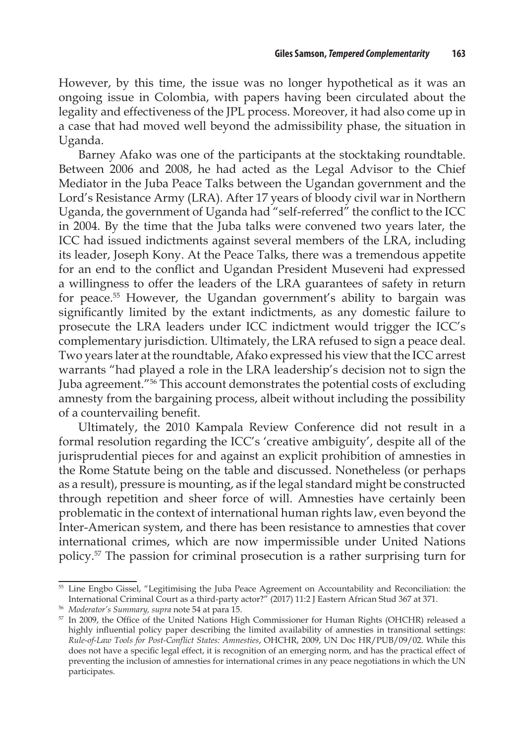However, by this time, the issue was no longer hypothetical as it was an ongoing issue in Colombia, with papers having been circulated about the legality and effectiveness of the JPL process. Moreover, it had also come up in a case that had moved well beyond the admissibility phase, the situation in Uganda.

Barney Afako was one of the participants at the stocktaking roundtable. Between 2006 and 2008, he had acted as the Legal Advisor to the Chief Mediator in the Juba Peace Talks between the Ugandan government and the Lord's Resistance Army (LRA). After 17 years of bloody civil war in Northern Uganda, the government of Uganda had "self-referred" the conflict to the ICC in 2004. By the time that the Juba talks were convened two years later, the ICC had issued indictments against several members of the LRA, including its leader, Joseph Kony. At the Peace Talks, there was a tremendous appetite for an end to the conflict and Ugandan President Museveni had expressed a willingness to offer the leaders of the LRA guarantees of safety in return for peace.<sup>55</sup> However, the Ugandan government's ability to bargain was significantly limited by the extant indictments, as any domestic failure to prosecute the LRA leaders under ICC indictment would trigger the ICC's complementary jurisdiction. Ultimately, the LRA refused to sign a peace deal. Two years later at the roundtable, Afako expressed his view that the ICC arrest warrants "had played a role in the LRA leadership's decision not to sign the Juba agreement."56 This account demonstrates the potential costs of excluding amnesty from the bargaining process, albeit without including the possibility of a countervailing benefit.

Ultimately, the 2010 Kampala Review Conference did not result in a formal resolution regarding the ICC's 'creative ambiguity', despite all of the jurisprudential pieces for and against an explicit prohibition of amnesties in the Rome Statute being on the table and discussed. Nonetheless (or perhaps as a result), pressure is mounting, as if the legal standard might be constructed through repetition and sheer force of will. Amnesties have certainly been problematic in the context of international human rights law, even beyond the Inter-American system, and there has been resistance to amnesties that cover international crimes, which are now impermissible under United Nations policy.57 The passion for criminal prosecution is a rather surprising turn for

<sup>55</sup> Line Engbo Gissel, "Legitimising the Juba Peace Agreement on Accountability and Reconciliation: the International Criminal Court as a third-party actor?" (2017) 11:2 J Eastern African Stud 367 at 371.

<sup>56</sup> *Moderator's Summary, supra* note 54 at para 15.

<sup>57</sup> In 2009, the Office of the United Nations High Commissioner for Human Rights (OHCHR) released a highly influential policy paper describing the limited availability of amnesties in transitional settings: *Rule-of-Law Tools for Post-Conflict States: Amnesties*, OHCHR, 2009, UN Doc HR/PUB/09/02. While this does not have a specific legal effect, it is recognition of an emerging norm, and has the practical effect of preventing the inclusion of amnesties for international crimes in any peace negotiations in which the UN participates.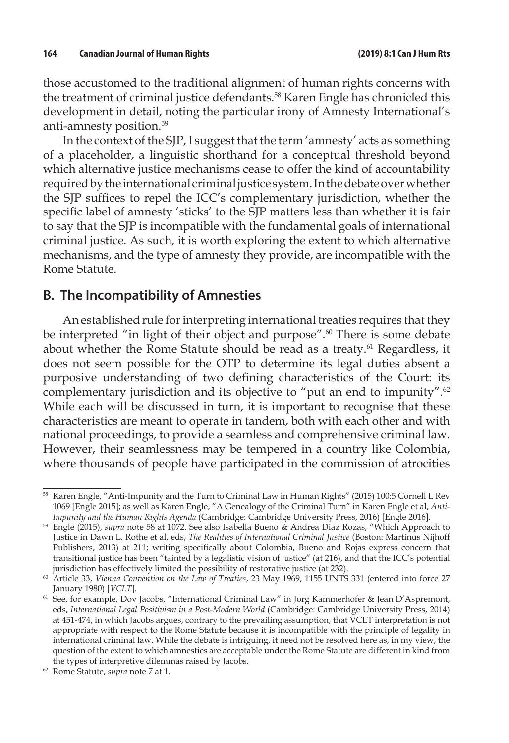those accustomed to the traditional alignment of human rights concerns with the treatment of criminal justice defendants.<sup>58</sup> Karen Engle has chronicled this development in detail, noting the particular irony of Amnesty International's anti-amnesty position.<sup>59</sup>

In the context of the SJP, I suggest that the term 'amnesty' acts as something of a placeholder, a linguistic shorthand for a conceptual threshold beyond which alternative justice mechanisms cease to offer the kind of accountability required by the international criminal justice system. In the debate over whether the SJP suffices to repel the ICC's complementary jurisdiction, whether the specific label of amnesty 'sticks' to the SJP matters less than whether it is fair to say that the SJP is incompatible with the fundamental goals of international criminal justice. As such, it is worth exploring the extent to which alternative mechanisms, and the type of amnesty they provide, are incompatible with the Rome Statute.

#### **B. The Incompatibility of Amnesties**

An established rule for interpreting international treaties requires that they be interpreted "in light of their object and purpose".<sup>60</sup> There is some debate about whether the Rome Statute should be read as a treaty.<sup>61</sup> Regardless, it does not seem possible for the OTP to determine its legal duties absent a purposive understanding of two defining characteristics of the Court: its complementary jurisdiction and its objective to "put an end to impunity".<sup>62</sup> While each will be discussed in turn, it is important to recognise that these characteristics are meant to operate in tandem, both with each other and with national proceedings, to provide a seamless and comprehensive criminal law. However, their seamlessness may be tempered in a country like Colombia, where thousands of people have participated in the commission of atrocities

<sup>58</sup> Karen Engle, "Anti-Impunity and the Turn to Criminal Law in Human Rights" (2015) 100:5 Cornell L Rev 1069 [Engle 2015]; as well as Karen Engle, "A Genealogy of the Criminal Turn" in Karen Engle et al, *Anti-Impunity and the Human Rights Agenda* (Cambridge: Cambridge University Press, 2016) [Engle 2016].

<sup>59</sup> Engle (2015), *supra* note 58 at 1072. See also Isabella Bueno & Andrea Diaz Rozas, "Which Approach to Justice in Dawn L. Rothe et al, eds, *The Realities of International Criminal Justice* (Boston: Martinus Nijhoff Publishers, 2013) at 211; writing specifically about Colombia, Bueno and Rojas express concern that transitional justice has been "tainted by a legalistic vision of justice" (at 216), and that the ICC's potential jurisdiction has effectively limited the possibility of restorative justice (at 232).

<sup>60</sup> Article 33, *Vienna Convention on the Law of Treaties*, 23 May 1969, 1155 UNTS 331 (entered into force 27 January 1980) [*VCLT*].

<sup>&</sup>lt;sup>61</sup> See, for example, Dov Jacobs, "International Criminal Law" in Jorg Kammerhofer & Jean D'Aspremont, eds, *International Legal Positivism in a Post-Modern World* (Cambridge: Cambridge University Press, 2014) at 451-474, in which Jacobs argues, contrary to the prevailing assumption, that VCLT interpretation is not appropriate with respect to the Rome Statute because it is incompatible with the principle of legality in international criminal law. While the debate is intriguing, it need not be resolved here as, in my view, the question of the extent to which amnesties are acceptable under the Rome Statute are different in kind from the types of interpretive dilemmas raised by Jacobs.

<sup>62</sup> Rome Statute, *supra* note 7 at 1.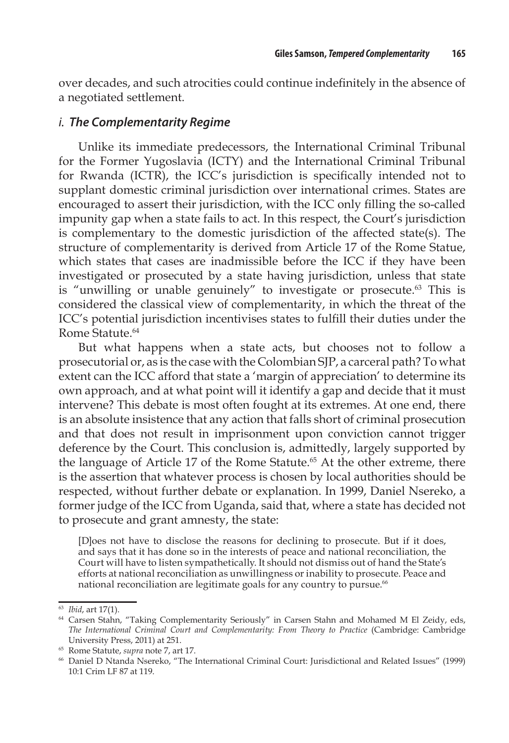over decades, and such atrocities could continue indefinitely in the absence of a negotiated settlement.

#### *i. The Complementarity Regime*

Unlike its immediate predecessors, the International Criminal Tribunal for the Former Yugoslavia (ICTY) and the International Criminal Tribunal for Rwanda (ICTR), the ICC's jurisdiction is specifically intended not to supplant domestic criminal jurisdiction over international crimes. States are encouraged to assert their jurisdiction, with the ICC only filling the so-called impunity gap when a state fails to act. In this respect, the Court's jurisdiction is complementary to the domestic jurisdiction of the affected state(s). The structure of complementarity is derived from Article 17 of the Rome Statue, which states that cases are inadmissible before the ICC if they have been investigated or prosecuted by a state having jurisdiction, unless that state is "unwilling or unable genuinely" to investigate or prosecute.<sup>63</sup> This is considered the classical view of complementarity, in which the threat of the ICC's potential jurisdiction incentivises states to fulfill their duties under the Rome Statute.<sup>64</sup>

But what happens when a state acts, but chooses not to follow a prosecutorial or, as is the case with the Colombian SJP, a carceral path? To what extent can the ICC afford that state a 'margin of appreciation' to determine its own approach, and at what point will it identify a gap and decide that it must intervene? This debate is most often fought at its extremes. At one end, there is an absolute insistence that any action that falls short of criminal prosecution and that does not result in imprisonment upon conviction cannot trigger deference by the Court. This conclusion is, admittedly, largely supported by the language of Article 17 of the Rome Statute.<sup>65</sup> At the other extreme, there is the assertion that whatever process is chosen by local authorities should be respected, without further debate or explanation. In 1999, Daniel Nsereko, a former judge of the ICC from Uganda, said that, where a state has decided not to prosecute and grant amnesty, the state:

[D]oes not have to disclose the reasons for declining to prosecute. But if it does, and says that it has done so in the interests of peace and national reconciliation, the Court will have to listen sympathetically. It should not dismiss out of hand the State's efforts at national reconciliation as unwillingness or inability to prosecute. Peace and national reconciliation are legitimate goals for any country to pursue.<sup>66</sup>

<sup>63</sup> *Ibid*, art 17(1).

<sup>64</sup> Carsen Stahn, "Taking Complementarity Seriously" in Carsen Stahn and Mohamed M El Zeidy, eds, *The International Criminal Court and Complementarity: From Theory to Practice* (Cambridge: Cambridge University Press, 2011) at 251.

<sup>65</sup> Rome Statute, *supra* note 7, art 17.

<sup>66</sup> Daniel D Ntanda Nsereko, "The International Criminal Court: Jurisdictional and Related Issues" (1999) 10:1 Crim LF 87 at 119.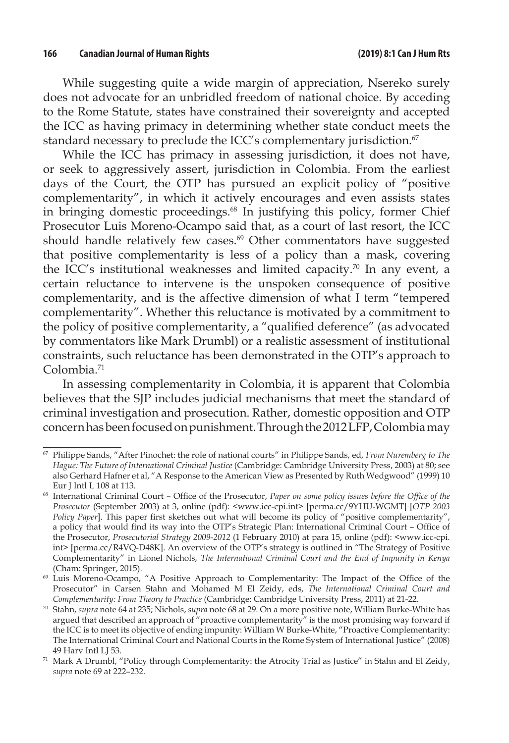While suggesting quite a wide margin of appreciation, Nsereko surely does not advocate for an unbridled freedom of national choice. By acceding to the Rome Statute, states have constrained their sovereignty and accepted the ICC as having primacy in determining whether state conduct meets the standard necessary to preclude the ICC's complementary jurisdiction.<sup>67</sup>

While the ICC has primacy in assessing jurisdiction, it does not have, or seek to aggressively assert, jurisdiction in Colombia. From the earliest days of the Court, the OTP has pursued an explicit policy of "positive complementarity", in which it actively encourages and even assists states in bringing domestic proceedings.<sup>68</sup> In justifying this policy, former Chief Prosecutor Luis Moreno-Ocampo said that, as a court of last resort, the ICC should handle relatively few cases.<sup>69</sup> Other commentators have suggested that positive complementarity is less of a policy than a mask, covering the ICC's institutional weaknesses and limited capacity.<sup>70</sup> In any event, a certain reluctance to intervene is the unspoken consequence of positive complementarity, and is the affective dimension of what I term "tempered complementarity". Whether this reluctance is motivated by a commitment to the policy of positive complementarity, a "qualified deference" (as advocated by commentators like Mark Drumbl) or a realistic assessment of institutional constraints, such reluctance has been demonstrated in the OTP's approach to Colombia.71

In assessing complementarity in Colombia, it is apparent that Colombia believes that the SJP includes judicial mechanisms that meet the standard of criminal investigation and prosecution. Rather, domestic opposition and OTP concern has been focused on punishment. Through the 2012 LFP, Colombia may

<sup>67</sup> Philippe Sands, "After Pinochet: the role of national courts" in Philippe Sands, ed, *From Nuremberg to The Hague: The Future of International Criminal Justice* (Cambridge: Cambridge University Press, 2003) at 80; see also Gerhard Hafner et al, "A Response to the American View as Presented by Ruth Wedgwood" (1999) 10 Eur J Intl L 108 at 113.

<sup>68</sup> International Criminal Court – Office of the Prosecutor, *Paper on some policy issues before the Office of the Prosecutor* (September 2003) at 3, online (pdf): <www.icc-cpi.int> [perma.cc/9YHU-WGMT] [*OTP 2003 Policy Paper*]. This paper first sketches out what will become its policy of "positive complementarity", a policy that would find its way into the OTP's Strategic Plan: International Criminal Court – Office of the Prosecutor, *Prosecutorial Strategy 2009-2012* (1 February 2010) at para 15, online (pdf): <www.icc-cpi. int> [perma.cc/R4VQ-D48K]. An overview of the OTP's strategy is outlined in "The Strategy of Positive Complementarity" in Lionel Nichols, *The International Criminal Court and the End of Impunity in Kenya*  (Cham: Springer, 2015).

<sup>&</sup>lt;sup>69</sup> Luis Moreno-Ocampo, "A Positive Approach to Complementarity: The Impact of the Office of the Prosecutor" in Carsen Stahn and Mohamed M El Zeidy, eds, *The International Criminal Court and Complementarity: From Theory to Practice* (Cambridge: Cambridge University Press, 2011) at 21-22.

<sup>70</sup> Stahn, *supra* note 64 at 235; Nichols, *supra* note 68 at 29. On a more positive note, William Burke-White has argued that described an approach of "proactive complementarity" is the most promising way forward if the ICC is to meet its objective of ending impunity: William W Burke-White, "Proactive Complementarity: The International Criminal Court and National Courts in the Rome System of International Justice" (2008) 49 Harv Intl LJ 53.

 $71$  Mark A Drumbl, "Policy through Complementarity: the Atrocity Trial as Justice" in Stahn and El Zeidy, *supra* note 69 at 222–232.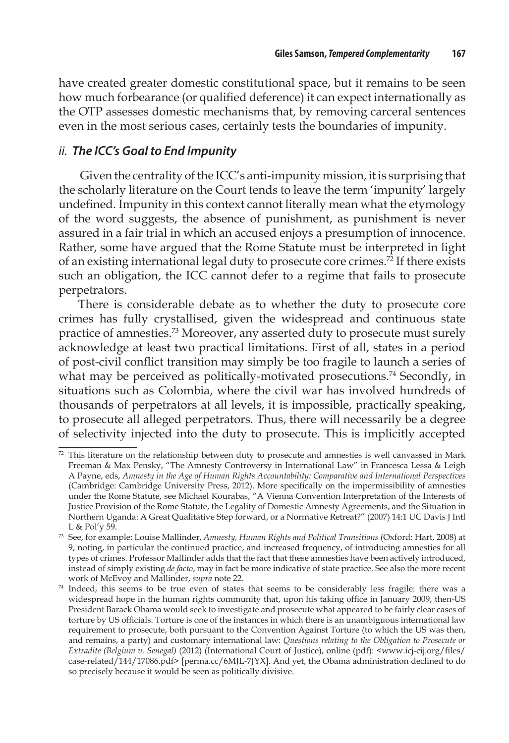have created greater domestic constitutional space, but it remains to be seen how much forbearance (or qualified deference) it can expect internationally as the OTP assesses domestic mechanisms that, by removing carceral sentences even in the most serious cases, certainly tests the boundaries of impunity.

#### *ii. The ICC's Goal to End Impunity*

 Given the centrality of the ICC's anti-impunity mission, it is surprising that the scholarly literature on the Court tends to leave the term 'impunity' largely undefined. Impunity in this context cannot literally mean what the etymology of the word suggests, the absence of punishment, as punishment is never assured in a fair trial in which an accused enjoys a presumption of innocence. Rather, some have argued that the Rome Statute must be interpreted in light of an existing international legal duty to prosecute core crimes.72 If there exists such an obligation, the ICC cannot defer to a regime that fails to prosecute perpetrators.

There is considerable debate as to whether the duty to prosecute core crimes has fully crystallised, given the widespread and continuous state practice of amnesties.73 Moreover, any asserted duty to prosecute must surely acknowledge at least two practical limitations. First of all, states in a period of post-civil conflict transition may simply be too fragile to launch a series of what may be perceived as politically-motivated prosecutions.<sup>74</sup> Secondly, in situations such as Colombia, where the civil war has involved hundreds of thousands of perpetrators at all levels, it is impossible, practically speaking, to prosecute all alleged perpetrators. Thus, there will necessarily be a degree of selectivity injected into the duty to prosecute. This is implicitly accepted

 $72$  This literature on the relationship between duty to prosecute and amnesties is well canvassed in Mark Freeman & Max Pensky, "The Amnesty Controversy in International Law" in Francesca Lessa & Leigh A Payne, eds, *Amnesty in the Age of Human Rights Accountability: Comparative and International Perspectives* (Cambridge: Cambridge University Press, 2012). More specifically on the impermissibility of amnesties under the Rome Statute, see Michael Kourabas, "A Vienna Convention Interpretation of the Interests of Justice Provision of the Rome Statute, the Legality of Domestic Amnesty Agreements, and the Situation in Northern Uganda: A Great Qualitative Step forward, or a Normative Retreat?" (2007) 14:1 UC Davis J Intl L & Pol'y 59.

<sup>73</sup> See, for example: Louise Mallinder, *Amnesty, Human Rights and Political Transitions* (Oxford: Hart, 2008) at 9, noting, in particular the continued practice, and increased frequency, of introducing amnesties for all types of crimes. Professor Mallinder adds that the fact that these amnesties have been actively introduced, instead of simply existing *de facto*, may in fact be more indicative of state practice. See also the more recent work of McEvoy and Mallinder, *supra* note 22.

<sup>74</sup> Indeed, this seems to be true even of states that seems to be considerably less fragile: there was a widespread hope in the human rights community that, upon his taking office in January 2009, then-US President Barack Obama would seek to investigate and prosecute what appeared to be fairly clear cases of torture by US officials. Torture is one of the instances in which there is an unambiguous international law requirement to prosecute, both pursuant to the Convention Against Torture (to which the US was then, and remains, a party) and customary international law: *Questions relating to the Obligation to Prosecute or Extradite (Belgium v. Senegal)* (2012) (International Court of Justice), online (pdf): <www.icj-cij.org/files/ case-related/144/17086.pdf> [perma.cc/6MJL-7JYX]. And yet, the Obama administration declined to do so precisely because it would be seen as politically divisive.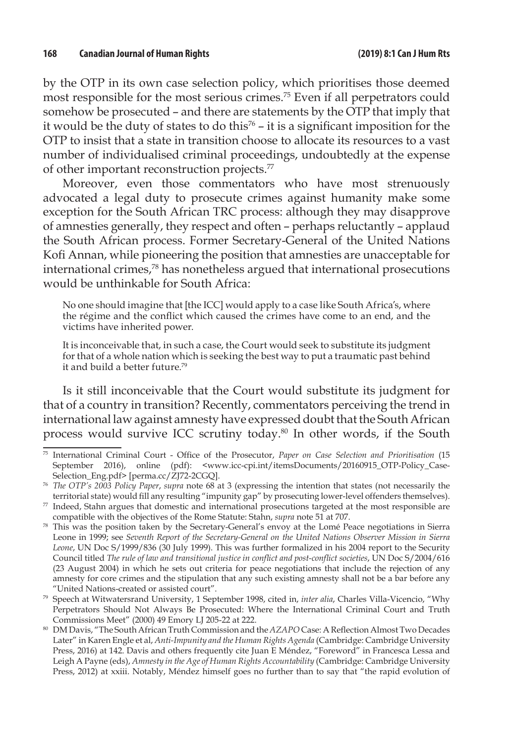by the OTP in its own case selection policy, which prioritises those deemed most responsible for the most serious crimes.75 Even if all perpetrators could somehow be prosecuted – and there are statements by the OTP that imply that it would be the duty of states to do this<sup>76</sup> – it is a significant imposition for the OTP to insist that a state in transition choose to allocate its resources to a vast number of individualised criminal proceedings, undoubtedly at the expense of other important reconstruction projects.77

Moreover, even those commentators who have most strenuously advocated a legal duty to prosecute crimes against humanity make some exception for the South African TRC process: although they may disapprove of amnesties generally, they respect and often – perhaps reluctantly – applaud the South African process. Former Secretary-General of the United Nations Kofi Annan, while pioneering the position that amnesties are unacceptable for international crimes,78 has nonetheless argued that international prosecutions would be unthinkable for South Africa:

No one should imagine that [the ICC] would apply to a case like South Africa's, where the régime and the conflict which caused the crimes have come to an end, and the victims have inherited power.

It is inconceivable that, in such a case, the Court would seek to substitute its judgment for that of a whole nation which is seeking the best way to put a traumatic past behind it and build a better future.79

Is it still inconceivable that the Court would substitute its judgment for that of a country in transition? Recently, commentators perceiving the trend in international law against amnesty have expressed doubt that the South African process would survive ICC scrutiny today.80 In other words, if the South

<sup>75</sup> International Criminal Court - Office of the Prosecutor, *Paper on Case Selection and Prioritisation* (15 September 2016), online (pdf): <www.icc-cpi.int/itemsDocuments/20160915\_OTP-Policy\_Case-Selection\_Eng.pdf> [perma.cc/ZJ72-2CGQ].

<sup>76</sup> *The OTP's 2003 Policy Paper*, *supra* note 68 at 3 (expressing the intention that states (not necessarily the territorial state) would fill any resulting "impunity gap" by prosecuting lower-level offenders themselves).

 $77$  Indeed, Stahn argues that domestic and international prosecutions targeted at the most responsible are compatible with the objectives of the Rome Statute: Stahn, *supra* note 51 at 707.

<sup>78</sup> This was the position taken by the Secretary-General's envoy at the Lomé Peace negotiations in Sierra Leone in 1999; see *Seventh Report of the Secretary-General on the United Nations Observer Mission in Sierra Leone*, UN Doc S/1999/836 (30 July 1999). This was further formalized in his 2004 report to the Security Council titled *The rule of law and transitional justice in conflict and post-conflict societies*, UN Doc S/2004/616 (23 August 2004) in which he sets out criteria for peace negotiations that include the rejection of any amnesty for core crimes and the stipulation that any such existing amnesty shall not be a bar before any "United Nations-created or assisted court".

<sup>79</sup> Speech at Witwatersrand University, 1 September 1998, cited in, *inter alia*, Charles Villa-Vicencio, "Why Perpetrators Should Not Always Be Prosecuted: Where the International Criminal Court and Truth Commissions Meet" (2000) 49 Emory LJ 205-22 at 222.

<sup>80</sup> DM Davis, "The South African Truth Commission and the *AZAPO* Case: A Reflection Almost Two Decades Later" in Karen Engle et al, *Anti-Impunity and the Human Rights Agenda* (Cambridge: Cambridge University Press, 2016) at 142. Davis and others frequently cite Juan E Méndez, "Foreword" in Francesca Lessa and Leigh A Payne (eds), *Amnesty in the Age of Human Rights Accountability* (Cambridge: Cambridge University Press, 2012) at xxiii. Notably, Méndez himself goes no further than to say that "the rapid evolution of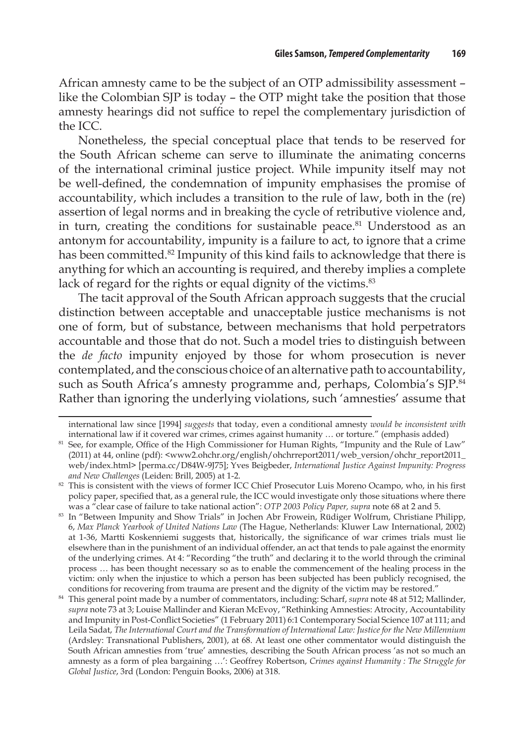African amnesty came to be the subject of an OTP admissibility assessment – like the Colombian SJP is today – the OTP might take the position that those amnesty hearings did not suffice to repel the complementary jurisdiction of the ICC.

Nonetheless, the special conceptual place that tends to be reserved for the South African scheme can serve to illuminate the animating concerns of the international criminal justice project. While impunity itself may not be well-defined, the condemnation of impunity emphasises the promise of accountability, which includes a transition to the rule of law, both in the (re) assertion of legal norms and in breaking the cycle of retributive violence and, in turn, creating the conditions for sustainable peace.<sup>81</sup> Understood as an antonym for accountability, impunity is a failure to act, to ignore that a crime has been committed.<sup>82</sup> Impunity of this kind fails to acknowledge that there is anything for which an accounting is required, and thereby implies a complete lack of regard for the rights or equal dignity of the victims.<sup>83</sup>

The tacit approval of the South African approach suggests that the crucial distinction between acceptable and unacceptable justice mechanisms is not one of form, but of substance, between mechanisms that hold perpetrators accountable and those that do not. Such a model tries to distinguish between the *de facto* impunity enjoyed by those for whom prosecution is never contemplated, and the conscious choice of an alternative path to accountability, such as South Africa's amnesty programme and, perhaps, Colombia's SJP.<sup>84</sup> Rather than ignoring the underlying violations, such 'amnesties' assume that

international law since [1994] *suggests* that today, even a conditional amnesty *would be inconsistent with*  international law if it covered war crimes, crimes against humanity … or torture." (emphasis added)

<sup>&</sup>lt;sup>81</sup> See, for example, Office of the High Commissioner for Human Rights, "Impunity and the Rule of Law" (2011) at 44, online (pdf): <www2.ohchr.org/english/ohchrreport2011/web\_version/ohchr\_report2011\_ web/index.html> [perma.cc/D84W-9J75]; Yves Beigbeder, *International Justice Against Impunity: Progress and New Challenges* (Leiden: Brill, 2005) at 1-2.

<sup>82</sup> This is consistent with the views of former ICC Chief Prosecutor Luis Moreno Ocampo, who, in his first policy paper, specified that, as a general rule, the ICC would investigate only those situations where there was a "clear case of failure to take national action": *OTP 2003 Policy Paper, supra* note 68 at 2 and 5.

<sup>83</sup> In "Between Impunity and Show Trials" in Jochen Abr Frowein, Rüdiger Wolfrum, Christiane Philipp, 6, *Max Planck Yearbook of United Nations Law* (The Hague, Netherlands: Kluwer Law International, 2002) at 1-36, Martti Koskenniemi suggests that, historically, the significance of war crimes trials must lie elsewhere than in the punishment of an individual offender, an act that tends to pale against the enormity of the underlying crimes. At 4: "Recording "the truth" and declaring it to the world through the criminal process … has been thought necessary so as to enable the commencement of the healing process in the victim: only when the injustice to which a person has been subjected has been publicly recognised, the conditions for recovering from trauma are present and the dignity of the victim may be restored."

<sup>84</sup> This general point made by a number of commentators, including: Scharf, *supra* note 48 at 512; Mallinder, *supra* note 73 at 3; Louise Mallinder and Kieran McEvoy, "Rethinking Amnesties: Atrocity, Accountability and Impunity in Post-Conflict Societies" (1 February 2011) 6:1 Contemporary Social Science 107 at 111; and Leila Sadat, *The International Court and the Transformation of International Law: Justice for the New Millennium* (Ardsley: Transnational Publishers, 2001), at 68. At least one other commentator would distinguish the South African amnesties from 'true' amnesties, describing the South African process 'as not so much an amnesty as a form of plea bargaining …': Geoffrey Robertson, *Crimes against Humanity : The Struggle for Global Justice*, 3rd (London: Penguin Books, 2006) at 318.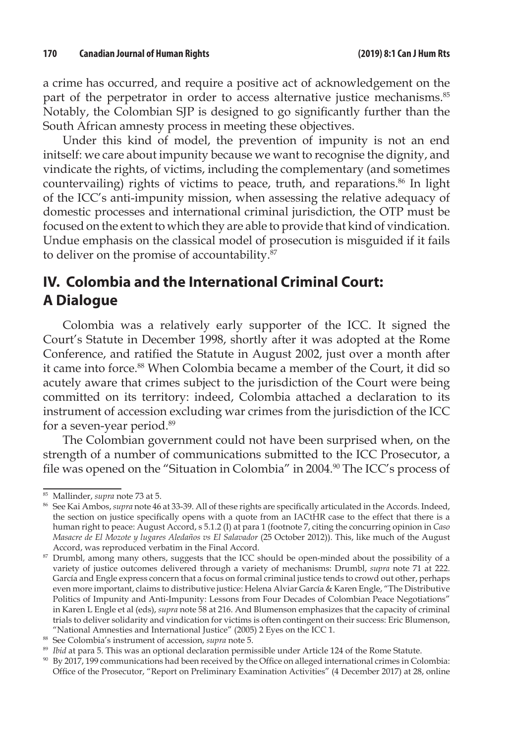a crime has occurred, and require a positive act of acknowledgement on the part of the perpetrator in order to access alternative justice mechanisms.<sup>85</sup> Notably, the Colombian SJP is designed to go significantly further than the South African amnesty process in meeting these objectives.

Under this kind of model, the prevention of impunity is not an end initself: we care about impunity because we want to recognise the dignity, and vindicate the rights, of victims, including the complementary (and sometimes countervailing) rights of victims to peace, truth, and reparations.<sup>86</sup> In light of the ICC's anti-impunity mission, when assessing the relative adequacy of domestic processes and international criminal jurisdiction, the OTP must be focused on the extent to which they are able to provide that kind of vindication. Undue emphasis on the classical model of prosecution is misguided if it fails to deliver on the promise of accountability.<sup>87</sup>

## **IV. Colombia and the International Criminal Court: A Dialogue**

Colombia was a relatively early supporter of the ICC. It signed the Court's Statute in December 1998, shortly after it was adopted at the Rome Conference, and ratified the Statute in August 2002, just over a month after it came into force.<sup>88</sup> When Colombia became a member of the Court, it did so acutely aware that crimes subject to the jurisdiction of the Court were being committed on its territory: indeed, Colombia attached a declaration to its instrument of accession excluding war crimes from the jurisdiction of the ICC for a seven-year period.<sup>89</sup>

The Colombian government could not have been surprised when, on the strength of a number of communications submitted to the ICC Prosecutor, a file was opened on the "Situation in Colombia" in 2004.<sup>90</sup> The ICC's process of

<sup>85</sup> Mallinder, *supra* note 73 at 5.

<sup>86</sup> See Kai Ambos, *supra* note 46 at 33-39. All of these rights are specifically articulated in the Accords. Indeed, the section on justice specifically opens with a quote from an IACtHR case to the effect that there is a human right to peace: August Accord, s 5.1.2 (I) at para 1 (footnote 7, citing the concurring opinion in *Caso Masacre de El Mozote y lugares Aledaños vs El Salavador* (25 October 2012)). This, like much of the August Accord, was reproduced verbatim in the Final Accord.

<sup>&</sup>lt;sup>87</sup> Drumbl, among many others, suggests that the ICC should be open-minded about the possibility of a variety of justice outcomes delivered through a variety of mechanisms: Drumbl, *supra* note 71 at 222. García and Engle express concern that a focus on formal criminal justice tends to crowd out other, perhaps even more important, claims to distributive justice: Helena Alviar García & Karen Engle, "The Distributive Politics of Impunity and Anti-Impunity: Lessons from Four Decades of Colombian Peace Negotiations" in Karen L Engle et al (eds), *supra* note 58 at 216. And Blumenson emphasizes that the capacity of criminal trials to deliver solidarity and vindication for victims is often contingent on their success: Eric Blumenson, "National Amnesties and International Justice" (2005) 2 Eyes on the ICC 1.

<sup>88</sup> See Colombia's instrument of accession, *supra* note 5.

<sup>89</sup> *Ibid* at para 5. This was an optional declaration permissible under Article 124 of the Rome Statute.

<sup>90</sup> By 2017, 199 communications had been received by the Office on alleged international crimes in Colombia: Office of the Prosecutor, "Report on Preliminary Examination Activities" (4 December 2017) at 28, online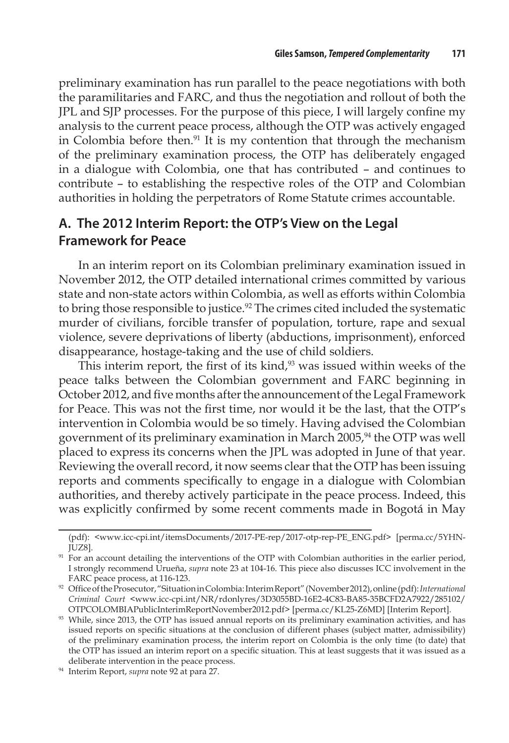preliminary examination has run parallel to the peace negotiations with both the paramilitaries and FARC, and thus the negotiation and rollout of both the JPL and SJP processes. For the purpose of this piece, I will largely confine my analysis to the current peace process, although the OTP was actively engaged in Colombia before then.<sup>91</sup> It is my contention that through the mechanism of the preliminary examination process, the OTP has deliberately engaged in a dialogue with Colombia, one that has contributed – and continues to contribute – to establishing the respective roles of the OTP and Colombian authorities in holding the perpetrators of Rome Statute crimes accountable.

#### **A. The 2012 Interim Report: the OTP's View on the Legal Framework for Peace**

In an interim report on its Colombian preliminary examination issued in November 2012, the OTP detailed international crimes committed by various state and non-state actors within Colombia, as well as efforts within Colombia to bring those responsible to justice.<sup>92</sup> The crimes cited included the systematic murder of civilians, forcible transfer of population, torture, rape and sexual violence, severe deprivations of liberty (abductions, imprisonment), enforced disappearance, hostage-taking and the use of child soldiers.

This interim report, the first of its kind, $93$  was issued within weeks of the peace talks between the Colombian government and FARC beginning in October 2012, and five months after the announcement of the Legal Framework for Peace. This was not the first time, nor would it be the last, that the OTP's intervention in Colombia would be so timely. Having advised the Colombian government of its preliminary examination in March 2005,<sup>94</sup> the OTP was well placed to express its concerns when the JPL was adopted in June of that year. Reviewing the overall record, it now seems clear that the OTP has been issuing reports and comments specifically to engage in a dialogue with Colombian authorities, and thereby actively participate in the peace process. Indeed, this was explicitly confirmed by some recent comments made in Bogotá in May

<sup>(</sup>pdf): <www.icc-cpi.int/itemsDocuments/2017-PE-rep/2017-otp-rep-PE\_ENG.pdf> [perma.cc/5YHN-JUZ8].

<sup>&</sup>lt;sup>91</sup> For an account detailing the interventions of the OTP with Colombian authorities in the earlier period, I strongly recommend Urueña, *supra* note 23 at 104-16. This piece also discusses ICC involvement in the FARC peace process, at 116-123.

<sup>92</sup> Office of the Prosecutor, "Situation in Colombia: Interim Report" (November 2012), online (pdf): *International Criminal Court* <www.icc-cpi.int/NR/rdonlyres/3D3055BD-16E2-4C83-BA85-35BCFD2A7922/285102/ OTPCOLOMBIAPublicInterimReportNovember2012.pdf> [perma.cc/KL25-Z6MD] [Interim Report].

<sup>93</sup> While, since 2013, the OTP has issued annual reports on its preliminary examination activities, and has issued reports on specific situations at the conclusion of different phases (subject matter, admissibility) of the preliminary examination process, the interim report on Colombia is the only time (to date) that the OTP has issued an interim report on a specific situation. This at least suggests that it was issued as a deliberate intervention in the peace process.

<sup>94</sup> Interim Report, *supra* note 92 at para 27.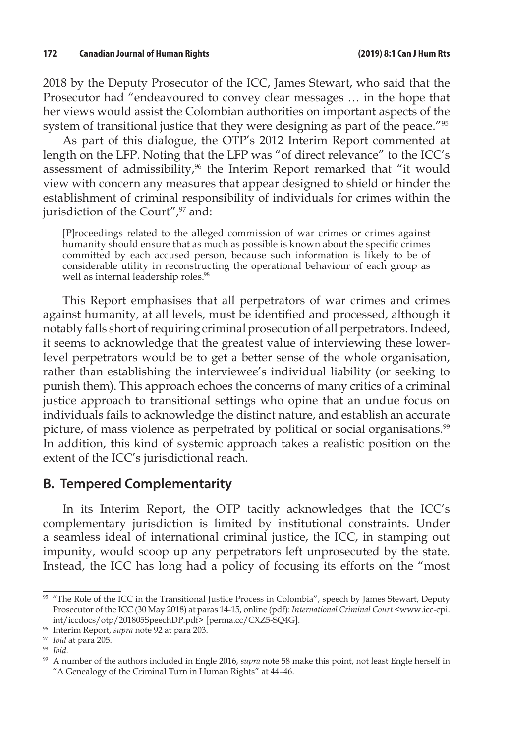2018 by the Deputy Prosecutor of the ICC, James Stewart, who said that the Prosecutor had "endeavoured to convey clear messages … in the hope that her views would assist the Colombian authorities on important aspects of the system of transitional justice that they were designing as part of the peace."<sup>95</sup>

As part of this dialogue, the OTP's 2012 Interim Report commented at length on the LFP. Noting that the LFP was "of direct relevance" to the ICC's assessment of admissibility,<sup>96</sup> the Interim Report remarked that "it would view with concern any measures that appear designed to shield or hinder the establishment of criminal responsibility of individuals for crimes within the jurisdiction of the Court", $97$  and:

[P]roceedings related to the alleged commission of war crimes or crimes against humanity should ensure that as much as possible is known about the specific crimes committed by each accused person, because such information is likely to be of considerable utility in reconstructing the operational behaviour of each group as well as internal leadership roles.<sup>98</sup>

This Report emphasises that all perpetrators of war crimes and crimes against humanity, at all levels, must be identified and processed, although it notably falls short of requiring criminal prosecution of all perpetrators. Indeed, it seems to acknowledge that the greatest value of interviewing these lowerlevel perpetrators would be to get a better sense of the whole organisation, rather than establishing the interviewee's individual liability (or seeking to punish them). This approach echoes the concerns of many critics of a criminal justice approach to transitional settings who opine that an undue focus on individuals fails to acknowledge the distinct nature, and establish an accurate picture, of mass violence as perpetrated by political or social organisations.<sup>99</sup> In addition, this kind of systemic approach takes a realistic position on the extent of the ICC's jurisdictional reach.

#### **B. Tempered Complementarity**

In its Interim Report, the OTP tacitly acknowledges that the ICC's complementary jurisdiction is limited by institutional constraints. Under a seamless ideal of international criminal justice, the ICC, in stamping out impunity, would scoop up any perpetrators left unprosecuted by the state. Instead, the ICC has long had a policy of focusing its efforts on the "most

<sup>95 &</sup>quot;The Role of the ICC in the Transitional Justice Process in Colombia", speech by James Stewart, Deputy Prosecutor of the ICC (30 May 2018) at paras 14-15, online (pdf): *International Criminal Court* <www.icc-cpi. int/iccdocs/otp/201805SpeechDP.pdf> [perma.cc/CXZ5-SQ4G].

<sup>96</sup> Interim Report, *supra* note 92 at para 203.

<sup>97</sup> *Ibid* at para 205.

<sup>98</sup> *Ibid.* 

<sup>99</sup> A number of the authors included in Engle 2016, *supra* note 58 make this point, not least Engle herself in "A Genealogy of the Criminal Turn in Human Rights" at 44–46.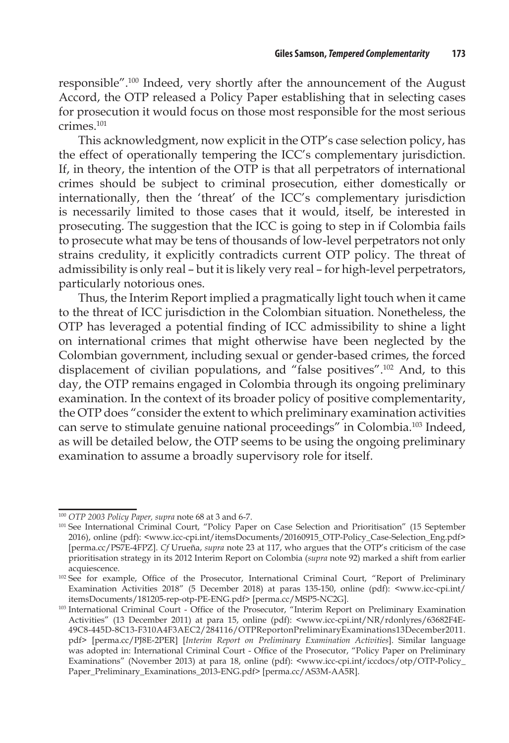responsible".100 Indeed, very shortly after the announcement of the August Accord, the OTP released a Policy Paper establishing that in selecting cases for prosecution it would focus on those most responsible for the most serious crimes.101

This acknowledgment, now explicit in the OTP's case selection policy, has the effect of operationally tempering the ICC's complementary jurisdiction. If, in theory, the intention of the OTP is that all perpetrators of international crimes should be subject to criminal prosecution, either domestically or internationally, then the 'threat' of the ICC's complementary jurisdiction is necessarily limited to those cases that it would, itself, be interested in prosecuting. The suggestion that the ICC is going to step in if Colombia fails to prosecute what may be tens of thousands of low-level perpetrators not only strains credulity, it explicitly contradicts current OTP policy. The threat of admissibility is only real – but it is likely very real – for high-level perpetrators, particularly notorious ones.

Thus, the Interim Report implied a pragmatically light touch when it came to the threat of ICC jurisdiction in the Colombian situation. Nonetheless, the OTP has leveraged a potential finding of ICC admissibility to shine a light on international crimes that might otherwise have been neglected by the Colombian government, including sexual or gender-based crimes, the forced displacement of civilian populations, and "false positives".102 And, to this day, the OTP remains engaged in Colombia through its ongoing preliminary examination. In the context of its broader policy of positive complementarity, the OTP does "consider the extent to which preliminary examination activities can serve to stimulate genuine national proceedings" in Colombia.103 Indeed, as will be detailed below, the OTP seems to be using the ongoing preliminary examination to assume a broadly supervisory role for itself.

<sup>100</sup> *OTP 2003 Policy Paper, supra* note 68 at 3 and 6-7.

<sup>&</sup>lt;sup>101</sup> See International Criminal Court, "Policy Paper on Case Selection and Prioritisation" (15 September 2016), online (pdf): *<*www.icc-cpi.int/itemsDocuments/20160915\_OTP-Policy\_Case-Selection\_Eng.pdf> [perma.cc/PS7E-4FPZ]. *Cf* Urueña, *supra* note 23 at 117, who argues that the OTP's criticism of the case prioritisation strategy in its 2012 Interim Report on Colombia (*supra* note 92) marked a shift from earlier acquiescence.

<sup>102</sup> See for example, Office of the Prosecutor, International Criminal Court, "Report of Preliminary Examination Activities 2018" (5 December 2018) at paras 135-150, online (pdf): <www.icc-cpi.int/ itemsDocuments/181205-rep-otp-PE-ENG.pdf> [perma.cc/MSP5-NC2G].

<sup>103</sup> International Criminal Court - Office of the Prosecutor, "Interim Report on Preliminary Examination Activities" (13 December 2011) at para 15, online (pdf): <www.icc-cpi.int/NR/rdonlyres/63682F4E-49C8-445D-8C13-F310A4F3AEC2/284116/OTPReportonPreliminaryExaminations13December2011. pdf> [perma.cc/PJ8E-2PER] [*Interim Report on Preliminary Examination Activities*]. Similar language was adopted in: International Criminal Court - Office of the Prosecutor, "Policy Paper on Preliminary Examinations" (November 2013) at para 18, online (pdf): <www.icc-cpi.int/iccdocs/otp/OTP-Policy\_ Paper\_Preliminary\_Examinations\_2013-ENG.pdf> [perma.cc/AS3M-AA5R].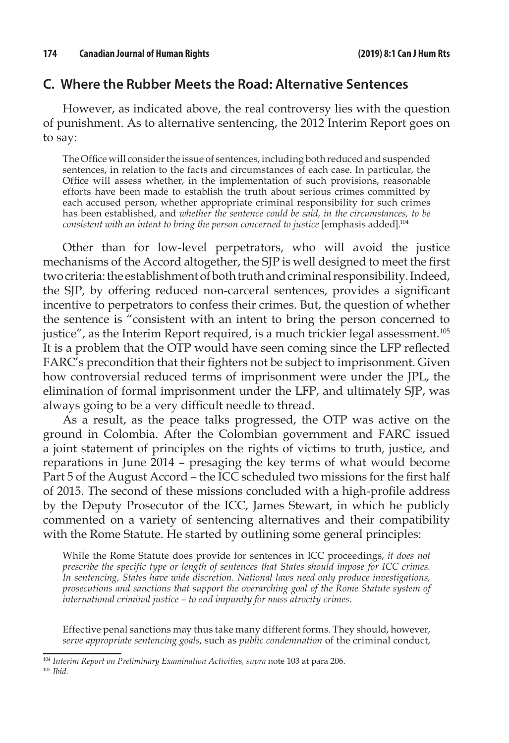#### **C. Where the Rubber Meets the Road: Alternative Sentences**

However, as indicated above, the real controversy lies with the question of punishment. As to alternative sentencing, the 2012 Interim Report goes on to say:

The Office will consider the issue of sentences, including both reduced and suspended sentences, in relation to the facts and circumstances of each case. In particular, the Office will assess whether, in the implementation of such provisions, reasonable efforts have been made to establish the truth about serious crimes committed by each accused person, whether appropriate criminal responsibility for such crimes has been established, and *whether the sentence could be said, in the circumstances, to be consistent with an intent to bring the person concerned to justice* [emphasis added].104

Other than for low-level perpetrators, who will avoid the justice mechanisms of the Accord altogether, the SJP is well designed to meet the first two criteria: the establishment of both truth and criminal responsibility. Indeed, the SJP, by offering reduced non-carceral sentences, provides a significant incentive to perpetrators to confess their crimes. But, the question of whether the sentence is "consistent with an intent to bring the person concerned to justice", as the Interim Report required, is a much trickier legal assessment.<sup>105</sup> It is a problem that the OTP would have seen coming since the LFP reflected FARC's precondition that their fighters not be subject to imprisonment. Given how controversial reduced terms of imprisonment were under the JPL, the elimination of formal imprisonment under the LFP, and ultimately SJP, was always going to be a very difficult needle to thread.

As a result, as the peace talks progressed, the OTP was active on the ground in Colombia. After the Colombian government and FARC issued a joint statement of principles on the rights of victims to truth, justice, and reparations in June 2014 – presaging the key terms of what would become Part 5 of the August Accord – the ICC scheduled two missions for the first half of 2015. The second of these missions concluded with a high-profile address by the Deputy Prosecutor of the ICC, James Stewart, in which he publicly commented on a variety of sentencing alternatives and their compatibility with the Rome Statute. He started by outlining some general principles:

While the Rome Statute does provide for sentences in ICC proceedings, *it does not prescribe the specific type or length of sentences that States should impose for ICC crimes. In sentencing, States have wide discretion. National laws need only produce investigations, prosecutions and sanctions that support the overarching goal of the Rome Statute system of international criminal justice – to end impunity for mass atrocity crimes.*

Effective penal sanctions may thus take many different forms. They should, however, *serve appropriate sentencing goals*, such as *public condemnation* of the criminal conduct,

<sup>104</sup> *Interim Report on Preliminary Examination Activities, supra* note 103 at para 206.

<sup>105</sup> *Ibid.*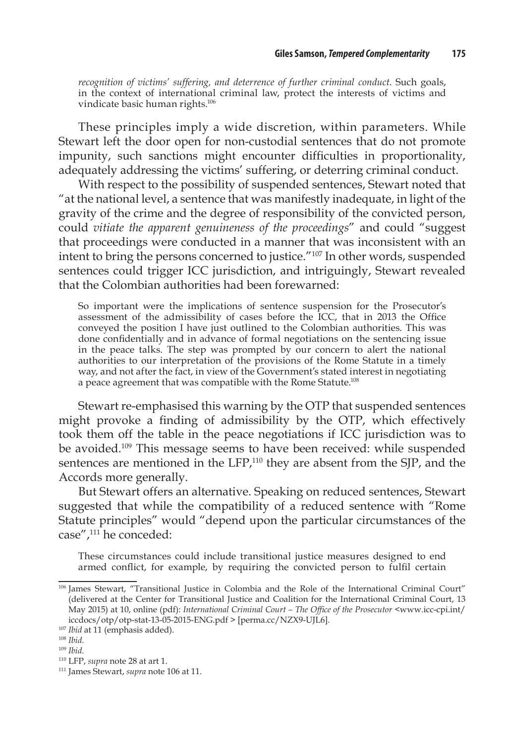*recognition of victims' suffering, and deterrence of further criminal conduct*. Such goals, in the context of international criminal law, protect the interests of victims and vindicate basic human rights.106

These principles imply a wide discretion, within parameters. While Stewart left the door open for non-custodial sentences that do not promote impunity, such sanctions might encounter difficulties in proportionality, adequately addressing the victims' suffering, or deterring criminal conduct.

With respect to the possibility of suspended sentences, Stewart noted that "at the national level, a sentence that was manifestly inadequate, in light of the gravity of the crime and the degree of responsibility of the convicted person, could *vitiate the apparent genuineness of the proceedings*" and could "suggest that proceedings were conducted in a manner that was inconsistent with an intent to bring the persons concerned to justice."107 In other words, suspended sentences could trigger ICC jurisdiction, and intriguingly, Stewart revealed that the Colombian authorities had been forewarned:

So important were the implications of sentence suspension for the Prosecutor's assessment of the admissibility of cases before the ICC, that in 2013 the Office conveyed the position I have just outlined to the Colombian authorities. This was done confidentially and in advance of formal negotiations on the sentencing issue in the peace talks. The step was prompted by our concern to alert the national authorities to our interpretation of the provisions of the Rome Statute in a timely way, and not after the fact, in view of the Government's stated interest in negotiating a peace agreement that was compatible with the Rome Statute.<sup>108</sup>

Stewart re-emphasised this warning by the OTP that suspended sentences might provoke a finding of admissibility by the OTP, which effectively took them off the table in the peace negotiations if ICC jurisdiction was to be avoided.109 This message seems to have been received: while suspended sentences are mentioned in the LFP,<sup>110</sup> they are absent from the SJP, and the Accords more generally.

But Stewart offers an alternative. Speaking on reduced sentences, Stewart suggested that while the compatibility of a reduced sentence with "Rome Statute principles" would "depend upon the particular circumstances of the case",<sup>111</sup> he conceded:

These circumstances could include transitional justice measures designed to end armed conflict, for example, by requiring the convicted person to fulfil certain

<sup>&</sup>lt;sup>106</sup> James Stewart, "Transitional Justice in Colombia and the Role of the International Criminal Court" (delivered at the Center for Transitional Justice and Coalition for the International Criminal Court, 13 May 2015) at 10, online (pdf): *International Criminal Court - The Office of the Prosecutor* <www.icc-cpi.int/ iccdocs/otp/otp-stat-13-05-2015-ENG.pdf > [perma.cc/NZX9-UJL6].

<sup>107</sup> *Ibid* at 11 (emphasis added).

<sup>108</sup> *Ibid*.

<sup>109</sup> *Ibid*.

<sup>110</sup> LFP, *supra* note 28 at art 1.

<sup>111</sup> James Stewart, *supra* note 106 at 11.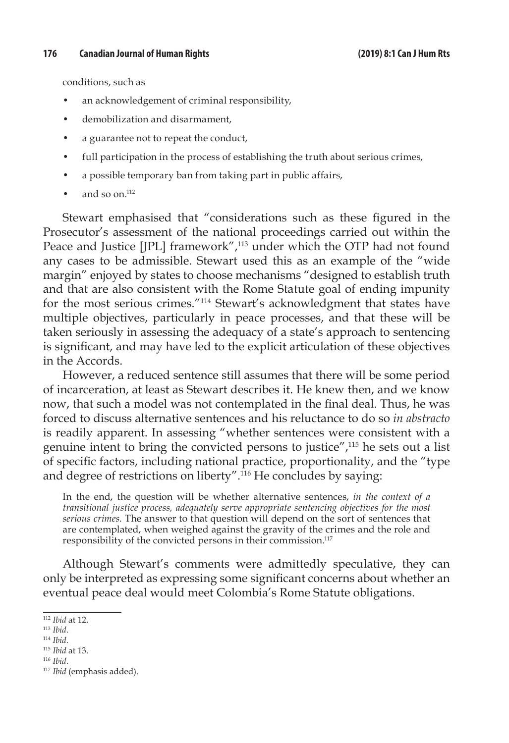#### **176 Canadian Journal of Human Rights (2019) 8:1 Can J Hum Rts**

conditions, such as

- an acknowledgement of criminal responsibility,
- demobilization and disarmament,
- a guarantee not to repeat the conduct,
- full participation in the process of establishing the truth about serious crimes,
- a possible temporary ban from taking part in public affairs,
- and so on. $^{112}$

Stewart emphasised that "considerations such as these figured in the Prosecutor's assessment of the national proceedings carried out within the Peace and Justice [JPL] framework",<sup>113</sup> under which the OTP had not found any cases to be admissible. Stewart used this as an example of the "wide margin" enjoyed by states to choose mechanisms "designed to establish truth and that are also consistent with the Rome Statute goal of ending impunity for the most serious crimes."114 Stewart's acknowledgment that states have multiple objectives, particularly in peace processes, and that these will be taken seriously in assessing the adequacy of a state's approach to sentencing is significant, and may have led to the explicit articulation of these objectives in the Accords.

However, a reduced sentence still assumes that there will be some period of incarceration, at least as Stewart describes it. He knew then, and we know now, that such a model was not contemplated in the final deal. Thus, he was forced to discuss alternative sentences and his reluctance to do so *in abstracto*  is readily apparent. In assessing "whether sentences were consistent with a genuine intent to bring the convicted persons to justice",115 he sets out a list of specific factors, including national practice, proportionality, and the "type and degree of restrictions on liberty".116 He concludes by saying:

In the end, the question will be whether alternative sentences, *in the context of a transitional justice process, adequately serve appropriate sentencing objectives for the most serious crimes.* The answer to that question will depend on the sort of sentences that are contemplated, when weighed against the gravity of the crimes and the role and responsibility of the convicted persons in their commission.<sup>117</sup>

Although Stewart's comments were admittedly speculative, they can only be interpreted as expressing some significant concerns about whether an eventual peace deal would meet Colombia's Rome Statute obligations.

<sup>112</sup> *Ibid* at 12.

<sup>113</sup> *Ibid*.

<sup>114</sup> *Ibid*.

<sup>115</sup> *Ibid* at 13. <sup>116</sup> *Ibid*.

<sup>117</sup> *Ibid* (emphasis added).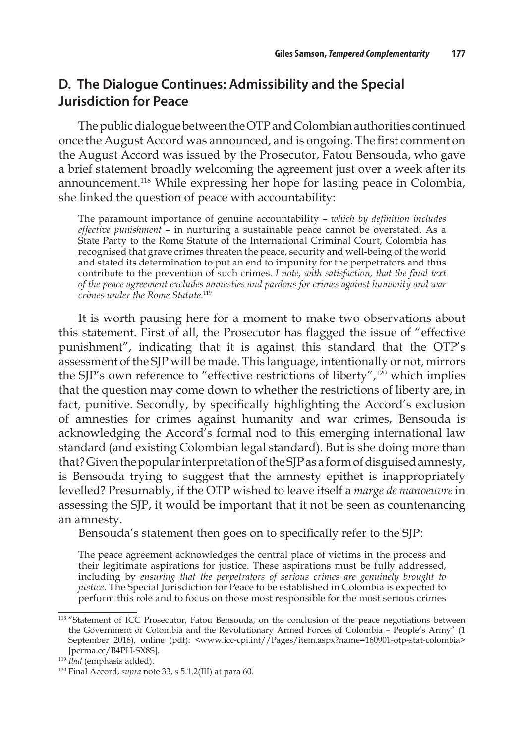#### **D. The Dialogue Continues: Admissibility and the Special Jurisdiction for Peace**

The public dialogue between the OTP and Colombian authorities continued once the August Accord was announced, and is ongoing. The first comment on the August Accord was issued by the Prosecutor, Fatou Bensouda, who gave a brief statement broadly welcoming the agreement just over a week after its announcement.118 While expressing her hope for lasting peace in Colombia, she linked the question of peace with accountability:

The paramount importance of genuine accountability – *which by definition includes effective punishment* – in nurturing a sustainable peace cannot be overstated. As a State Party to the Rome Statute of the International Criminal Court, Colombia has recognised that grave crimes threaten the peace, security and well-being of the world and stated its determination to put an end to impunity for the perpetrators and thus contribute to the prevention of such crimes. *I note, with satisfaction, that the final text of the peace agreement excludes amnesties and pardons for crimes against humanity and war crimes under the Rome Statute.*<sup>119</sup>

It is worth pausing here for a moment to make two observations about this statement. First of all, the Prosecutor has flagged the issue of "effective punishment", indicating that it is against this standard that the OTP's assessment of the SJP will be made. This language, intentionally or not, mirrors the SJP's own reference to "effective restrictions of liberty",120 which implies that the question may come down to whether the restrictions of liberty are, in fact, punitive. Secondly, by specifically highlighting the Accord's exclusion of amnesties for crimes against humanity and war crimes, Bensouda is acknowledging the Accord's formal nod to this emerging international law standard (and existing Colombian legal standard). But is she doing more than that? Given the popular interpretation of the SJP as a form of disguised amnesty, is Bensouda trying to suggest that the amnesty epithet is inappropriately levelled? Presumably, if the OTP wished to leave itself a *marge de manoeuvre* in assessing the SJP, it would be important that it not be seen as countenancing an amnesty.

Bensouda's statement then goes on to specifically refer to the SJP:

The peace agreement acknowledges the central place of victims in the process and their legitimate aspirations for justice. These aspirations must be fully addressed, including by *ensuring that the perpetrators of serious crimes are genuinely brought to justice.* The Special Jurisdiction for Peace to be established in Colombia is expected to perform this role and to focus on those most responsible for the most serious crimes

<sup>&</sup>lt;sup>118</sup> "Statement of ICC Prosecutor, Fatou Bensouda, on the conclusion of the peace negotiations between the Government of Colombia and the Revolutionary Armed Forces of Colombia – People's Army" (1 September 2016), online (pdf): <www.icc-cpi.int//Pages/item.aspx?name=160901-otp-stat-colombia> [perma.cc/B4PH-SX8S].

<sup>119</sup> *Ibid* (emphasis added).

<sup>120</sup> Final Accord, *supra* note 33, s 5.1.2(III) at para 60.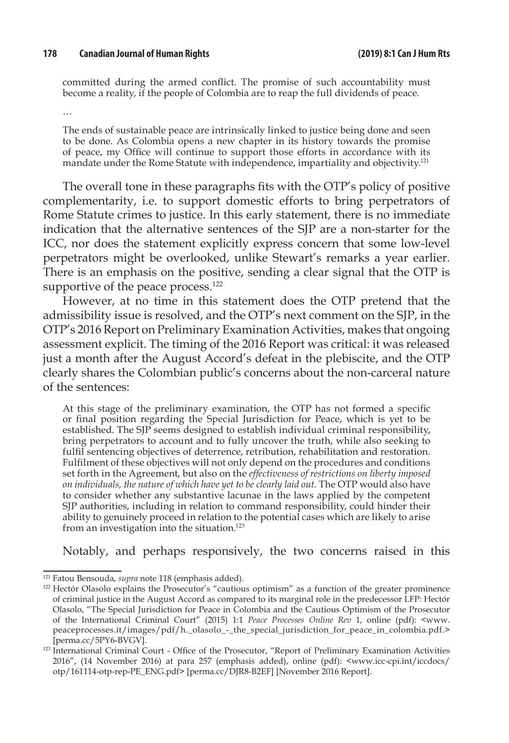#### **178 Canadian Journal of Human Rights (2019) 8:1 Can J Hum Rts**

committed during the armed conflict. The promise of such accountability must become a reality, if the people of Colombia are to reap the full dividends of peace.

…

The ends of sustainable peace are intrinsically linked to justice being done and seen to be done. As Colombia opens a new chapter in its history towards the promise of peace, my Office will continue to support those efforts in accordance with its mandate under the Rome Statute with independence, impartiality and objectivity.<sup>121</sup>

The overall tone in these paragraphs fits with the OTP's policy of positive complementarity, i.e. to support domestic efforts to bring perpetrators of Rome Statute crimes to justice. In this early statement, there is no immediate indication that the alternative sentences of the SJP are a non-starter for the ICC, nor does the statement explicitly express concern that some low-level perpetrators might be overlooked, unlike Stewart's remarks a year earlier. There is an emphasis on the positive, sending a clear signal that the OTP is supportive of the peace process.<sup>122</sup>

However, at no time in this statement does the OTP pretend that the admissibility issue is resolved, and the OTP's next comment on the SJP, in the OTP's 2016 Report on Preliminary Examination Activities, makes that ongoing assessment explicit. The timing of the 2016 Report was critical: it was released just a month after the August Accord's defeat in the plebiscite, and the OTP clearly shares the Colombian public's concerns about the non-carceral nature of the sentences:

At this stage of the preliminary examination, the OTP has not formed a specific or final position regarding the Special Jurisdiction for Peace, which is yet to be established. The SJP seems designed to establish individual criminal responsibility, bring perpetrators to account and to fully uncover the truth, while also seeking to fulfil sentencing objectives of deterrence, retribution, rehabilitation and restoration. Fulfilment of these objectives will not only depend on the procedures and conditions set forth in the Agreement, but also on the *effectiveness of restrictions on liberty imposed on individuals, the nature of which have yet to be clearly laid out.* The OTP would also have to consider whether any substantive lacunae in the laws applied by the competent SJP authorities, including in relation to command responsibility, could hinder their ability to genuinely proceed in relation to the potential cases which are likely to arise from an investigation into the situation.<sup>123</sup>

Notably, and perhaps responsively, the two concerns raised in this

<sup>121</sup> Fatou Bensouda, *supra* note 118 (emphasis added).

<sup>&</sup>lt;sup>122</sup> Hectór Olasolo explains the Prosecutor's "cautious optimism" as a function of the greater prominence of criminal justice in the August Accord as compared to its marginal role in the predecessor LFP: Hectór Olasolo, "The Special Jurisdiction for Peace in Colombia and the Cautious Optimism of the Prosecutor of the International Criminal Court" (2015) 1:1 *Peace Processes Online Rev* 1, online (pdf): <www. peaceprocesses.it/images/pdf/h.\_olasolo\_-\_the\_special\_jurisdiction\_for\_peace\_in\_colombia.pdf.> [perma.cc/5PY6-BVGV].

<sup>&</sup>lt;sup>123</sup> International Criminal Court - Office of the Prosecutor, "Report of Preliminary Examination Activities 2016", (14 November 2016) at para 257 (emphasis added), online (pdf): <www.icc-cpi.int/iccdocs/ otp/161114-otp-rep-PE\_ENG.pdf> [perma.cc/DJR8-B2EF] [November 2016 Report].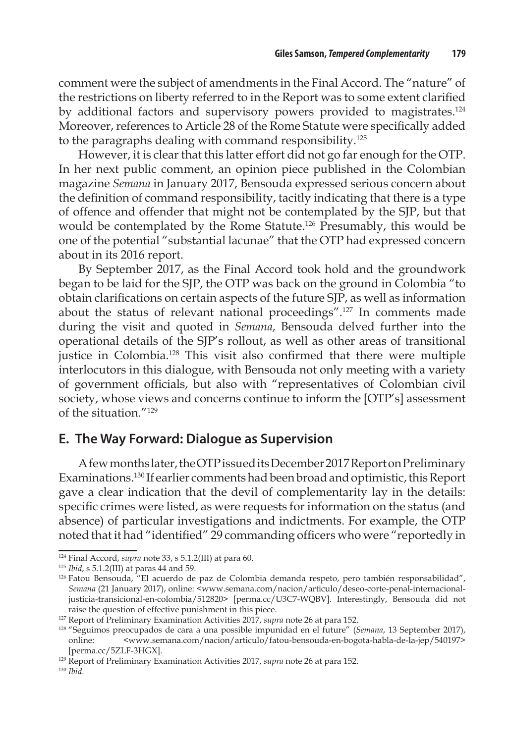comment were the subject of amendments in the Final Accord. The "nature" of the restrictions on liberty referred to in the Report was to some extent clarified by additional factors and supervisory powers provided to magistrates.<sup>124</sup> Moreover, references to Article 28 of the Rome Statute were specifically added to the paragraphs dealing with command responsibility.<sup>125</sup>

However, it is clear that this latter effort did not go far enough for the OTP. In her next public comment, an opinion piece published in the Colombian magazine *Semana* in January 2017, Bensouda expressed serious concern about the definition of command responsibility, tacitly indicating that there is a type of offence and offender that might not be contemplated by the SJP, but that would be contemplated by the Rome Statute.126 Presumably, this would be one of the potential "substantial lacunae" that the OTP had expressed concern about in its 2016 report.

By September 2017, as the Final Accord took hold and the groundwork began to be laid for the SJP, the OTP was back on the ground in Colombia "to obtain clarifications on certain aspects of the future SJP, as well as information about the status of relevant national proceedings".127 In comments made during the visit and quoted in *Semana*, Bensouda delved further into the operational details of the SJP's rollout, as well as other areas of transitional justice in Colombia.<sup>128</sup> This visit also confirmed that there were multiple interlocutors in this dialogue, with Bensouda not only meeting with a variety of government officials, but also with "representatives of Colombian civil society, whose views and concerns continue to inform the [OTP's] assessment of the situation  $^{\prime\prime}129$ 

#### **E. The Way Forward: Dialogue as Supervision**

A few months later, the OTP issued its December 2017 Report on Preliminary Examinations.130 If earlier comments had been broad and optimistic, this Report gave a clear indication that the devil of complementarity lay in the details: specific crimes were listed, as were requests for information on the status (and absence) of particular investigations and indictments. For example, the OTP noted that it had "identified" 29 commanding officers who were "reportedly in

<sup>124</sup> Final Accord, *supra* note 33, s 5.1.2(III) at para 60.

<sup>125</sup> *Ibid*, s 5.1.2(III) at paras 44 and 59.

<sup>&</sup>lt;sup>126</sup> Fatou Bensouda, "El acuerdo de paz de Colombia demanda respeto, pero también responsabilidad", *Semana* (21 January 2017), online: <www.semana.com/nacion/articulo/deseo-corte-penal-internacionaljusticia-transicional-en-colombia/512820> [perma.cc/U3C7-WQBV]. Interestingly, Bensouda did not raise the question of effective punishment in this piece.

<sup>127</sup> Report of Preliminary Examination Activities 2017, *supra* note 26 at para 152.

<sup>128</sup> "Seguimos preocupados de cara a una possible impunidad en el future" (*Semana*, 13 September 2017), online: <www.semana.com/nacion/articulo/fatou-bensouda-en-bogota-habla-de-la-jep/540197> [perma.cc/5ZLF-3HGX].

<sup>&</sup>lt;sup>129</sup> Report of Preliminary Examination Activities 2017, *supra* note 26 at para 152.

<sup>130</sup> *Ibid*.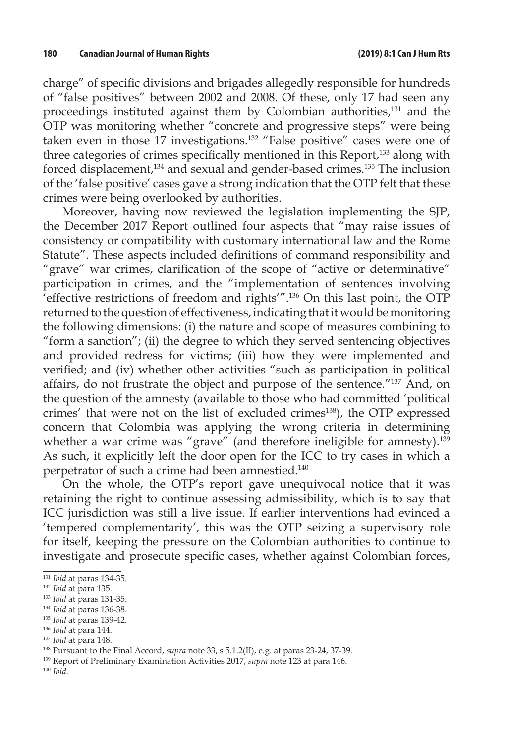charge" of specific divisions and brigades allegedly responsible for hundreds of "false positives" between 2002 and 2008. Of these, only 17 had seen any proceedings instituted against them by Colombian authorities,<sup>131</sup> and the OTP was monitoring whether "concrete and progressive steps" were being taken even in those 17 investigations.<sup>132</sup> "False positive" cases were one of three categories of crimes specifically mentioned in this Report,<sup>133</sup> along with forced displacement,<sup>134</sup> and sexual and gender-based crimes.<sup>135</sup> The inclusion of the 'false positive' cases gave a strong indication that the OTP felt that these crimes were being overlooked by authorities.

Moreover, having now reviewed the legislation implementing the SJP, the December 2017 Report outlined four aspects that "may raise issues of consistency or compatibility with customary international law and the Rome Statute". These aspects included definitions of command responsibility and "grave" war crimes, clarification of the scope of "active or determinative" participation in crimes, and the "implementation of sentences involving 'effective restrictions of freedom and rights'".136 On this last point, the OTP returned to the question of effectiveness, indicating that it would be monitoring the following dimensions: (i) the nature and scope of measures combining to "form a sanction"; (ii) the degree to which they served sentencing objectives and provided redress for victims; (iii) how they were implemented and verified; and (iv) whether other activities "such as participation in political affairs, do not frustrate the object and purpose of the sentence."137 And, on the question of the amnesty (available to those who had committed 'political crimes' that were not on the list of excluded crimes<sup>138</sup>), the OTP expressed concern that Colombia was applying the wrong criteria in determining whether a war crime was "grave" (and therefore ineligible for amnesty).<sup>139</sup> As such, it explicitly left the door open for the ICC to try cases in which a perpetrator of such a crime had been amnestied.140

On the whole, the OTP's report gave unequivocal notice that it was retaining the right to continue assessing admissibility, which is to say that ICC jurisdiction was still a live issue. If earlier interventions had evinced a 'tempered complementarity', this was the OTP seizing a supervisory role for itself, keeping the pressure on the Colombian authorities to continue to investigate and prosecute specific cases, whether against Colombian forces,

<sup>135</sup> *Ibid* at paras 139-42.

<sup>131</sup> *Ibid* at paras 134-35.

<sup>132</sup> *Ibid* at para 135.

<sup>133</sup> *Ibid* at paras 131-35.

<sup>134</sup> *Ibid* at paras 136-38.

<sup>136</sup> *Ibid* at para 144.

<sup>137</sup> *Ibid* at para 148.

<sup>138</sup> Pursuant to the Final Accord, *supra* note 33, s 5.1.2(II), e.g. at paras 23-24, 37-39.

<sup>139</sup> Report of Preliminary Examination Activities 2017, *supra* note 123 at para 146.

<sup>140</sup> *Ibid*.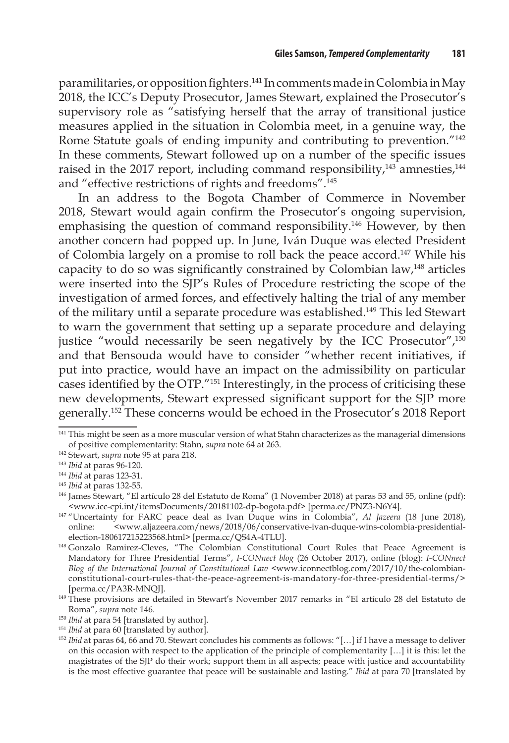paramilitaries, or opposition fighters.141 In comments made in Colombia in May 2018, the ICC's Deputy Prosecutor, James Stewart, explained the Prosecutor's supervisory role as "satisfying herself that the array of transitional justice measures applied in the situation in Colombia meet, in a genuine way, the Rome Statute goals of ending impunity and contributing to prevention."142 In these comments, Stewart followed up on a number of the specific issues raised in the 2017 report, including command responsibility, $143$  amnesties, $144$ and "effective restrictions of rights and freedoms".145

In an address to the Bogota Chamber of Commerce in November 2018, Stewart would again confirm the Prosecutor's ongoing supervision, emphasising the question of command responsibility.<sup>146</sup> However, by then another concern had popped up. In June, Iván Duque was elected President of Colombia largely on a promise to roll back the peace accord.147 While his capacity to do so was significantly constrained by Colombian law,148 articles were inserted into the SJP's Rules of Procedure restricting the scope of the investigation of armed forces, and effectively halting the trial of any member of the military until a separate procedure was established.149 This led Stewart to warn the government that setting up a separate procedure and delaying justice "would necessarily be seen negatively by the ICC Prosecutor",<sup>150</sup> and that Bensouda would have to consider "whether recent initiatives, if put into practice, would have an impact on the admissibility on particular cases identified by the OTP."151 Interestingly, in the process of criticising these new developments, Stewart expressed significant support for the SJP more generally.152 These concerns would be echoed in the Prosecutor's 2018 Report

<sup>&</sup>lt;sup>141</sup> This might be seen as a more muscular version of what Stahn characterizes as the managerial dimensions of positive complementarity: Stahn, *supra* note 64 at 263.

<sup>142</sup> Stewart, *supra* note 95 at para 218.

<sup>143</sup> *Ibid* at paras 96-120.

<sup>144</sup> *Ibid* at paras 123-31.

<sup>&</sup>lt;sup>145</sup> *Ibid* at paras 132-55.<br><sup>146</sup> James Stewart, "El artículo 28 del Estatuto de Roma" (1 November 2018) at paras 53 and 55, online (pdf): <www.icc-cpi.int/itemsDocuments/20181102-dp-bogota.pdf> [perma.cc/PNZ3-N6Y4].

<sup>147</sup> "Uncertainty for FARC peace deal as Ivan Duque wins in Colombia", *Al Jazeera* (18 June 2018), online: <www.aljazeera.com/news/2018/06/conservative-ivan-duque-wins-colombia-presidentialelection-180617215223568.html> [perma.cc/QS4A-4TLU].

<sup>148</sup> Gonzalo Ramirez-Cleves, "The Colombian Constitutional Court Rules that Peace Agreement is Mandatory for Three Presidential Terms", *I-CONnect blog* (26 October 2017), online (blog): *I-CONnect Blog of the International Journal of Constitutional Law* <www.iconnectblog.com/2017/10/the-colombianconstitutional-court-rules-that-the-peace-agreement-is-mandatory-for-three-presidential-terms/> [perma.cc/PA3R-MNQJ].

<sup>149</sup> These provisions are detailed in Stewart's November 2017 remarks in "El artículo 28 del Estatuto de Roma", *supra* note 146.

<sup>&</sup>lt;sup>150</sup> *Ibid* at para 54 [translated by author].

<sup>&</sup>lt;sup>151</sup> *Ibid* at para 60 [translated by author].

<sup>&</sup>lt;sup>152</sup> *Ibid* at paras 64, 66 and 70. Stewart concludes his comments as follows: "[...] if I have a message to deliver on this occasion with respect to the application of the principle of complementarity […] it is this: let the magistrates of the SJP do their work; support them in all aspects; peace with justice and accountability is the most effective guarantee that peace will be sustainable and lasting." *Ibid* at para 70 [translated by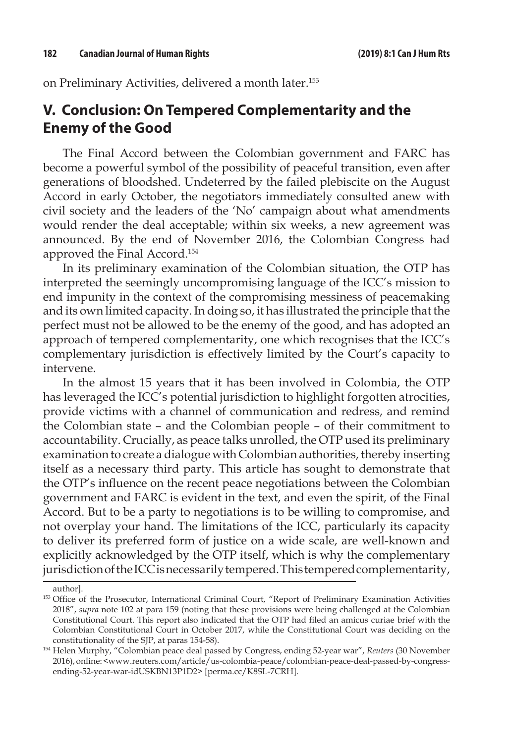on Preliminary Activities, delivered a month later.153

### **V. Conclusion: On Tempered Complementarity and the Enemy of the Good**

The Final Accord between the Colombian government and FARC has become a powerful symbol of the possibility of peaceful transition, even after generations of bloodshed. Undeterred by the failed plebiscite on the August Accord in early October, the negotiators immediately consulted anew with civil society and the leaders of the 'No' campaign about what amendments would render the deal acceptable; within six weeks, a new agreement was announced. By the end of November 2016, the Colombian Congress had approved the Final Accord.154

In its preliminary examination of the Colombian situation, the OTP has interpreted the seemingly uncompromising language of the ICC's mission to end impunity in the context of the compromising messiness of peacemaking and its own limited capacity. In doing so, it has illustrated the principle that the perfect must not be allowed to be the enemy of the good, and has adopted an approach of tempered complementarity, one which recognises that the ICC's complementary jurisdiction is effectively limited by the Court's capacity to intervene.

In the almost 15 years that it has been involved in Colombia, the OTP has leveraged the ICC's potential jurisdiction to highlight forgotten atrocities, provide victims with a channel of communication and redress, and remind the Colombian state – and the Colombian people – of their commitment to accountability. Crucially, as peace talks unrolled, the OTP used its preliminary examination to create a dialogue with Colombian authorities, thereby inserting itself as a necessary third party. This article has sought to demonstrate that the OTP's influence on the recent peace negotiations between the Colombian government and FARC is evident in the text, and even the spirit, of the Final Accord. But to be a party to negotiations is to be willing to compromise, and not overplay your hand. The limitations of the ICC, particularly its capacity to deliver its preferred form of justice on a wide scale, are well-known and explicitly acknowledged by the OTP itself, which is why the complementary jurisdiction of the ICC is necessarily tempered. This tempered complementarity,

author].

<sup>153</sup> Office of the Prosecutor, International Criminal Court, "Report of Preliminary Examination Activities 2018", *supra* note 102 at para 159 (noting that these provisions were being challenged at the Colombian Constitutional Court. This report also indicated that the OTP had filed an amicus curiae brief with the Colombian Constitutional Court in October 2017, while the Constitutional Court was deciding on the constitutionality of the SJP, at paras 154-58).

<sup>154</sup> Helen Murphy, "Colombian peace deal passed by Congress, ending 52-year war", *Reuters* (30 November 2016), online: <www.reuters.com/article/us-colombia-peace/colombian-peace-deal-passed-by-congressending-52-year-war-idUSKBN13P1D2> [perma.cc/K8SL-7CRH].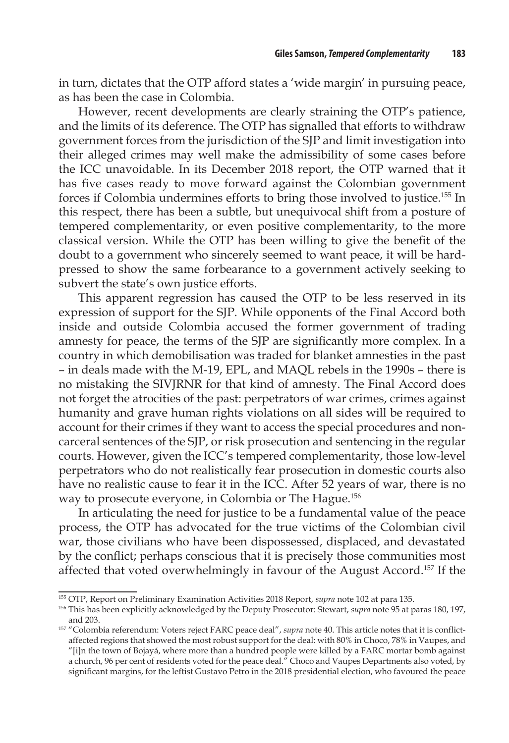in turn, dictates that the OTP afford states a 'wide margin' in pursuing peace, as has been the case in Colombia.

However, recent developments are clearly straining the OTP's patience, and the limits of its deference. The OTP has signalled that efforts to withdraw government forces from the jurisdiction of the SJP and limit investigation into their alleged crimes may well make the admissibility of some cases before the ICC unavoidable. In its December 2018 report, the OTP warned that it has five cases ready to move forward against the Colombian government forces if Colombia undermines efforts to bring those involved to justice.155 In this respect, there has been a subtle, but unequivocal shift from a posture of tempered complementarity, or even positive complementarity, to the more classical version. While the OTP has been willing to give the benefit of the doubt to a government who sincerely seemed to want peace, it will be hardpressed to show the same forbearance to a government actively seeking to subvert the state's own justice efforts.

This apparent regression has caused the OTP to be less reserved in its expression of support for the SJP. While opponents of the Final Accord both inside and outside Colombia accused the former government of trading amnesty for peace, the terms of the SJP are significantly more complex. In a country in which demobilisation was traded for blanket amnesties in the past – in deals made with the M-19, EPL, and MAQL rebels in the 1990s – there is no mistaking the SIVJRNR for that kind of amnesty. The Final Accord does not forget the atrocities of the past: perpetrators of war crimes, crimes against humanity and grave human rights violations on all sides will be required to account for their crimes if they want to access the special procedures and noncarceral sentences of the SJP, or risk prosecution and sentencing in the regular courts. However, given the ICC's tempered complementarity, those low-level perpetrators who do not realistically fear prosecution in domestic courts also have no realistic cause to fear it in the ICC. After 52 years of war, there is no way to prosecute everyone, in Colombia or The Hague.156

In articulating the need for justice to be a fundamental value of the peace process, the OTP has advocated for the true victims of the Colombian civil war, those civilians who have been dispossessed, displaced, and devastated by the conflict; perhaps conscious that it is precisely those communities most affected that voted overwhelmingly in favour of the August Accord.157 If the

<sup>155</sup> OTP, Report on Preliminary Examination Activities 2018 Report, *supra* note 102 at para 135.

<sup>156</sup> This has been explicitly acknowledged by the Deputy Prosecutor: Stewart, *supra* note 95 at paras 180, 197, and 203.

<sup>157</sup> "Colombia referendum: Voters reject FARC peace deal", *supra* note 40. This article notes that it is conflictaffected regions that showed the most robust support for the deal: with 80% in Choco, 78% in Vaupes, and "[i]n the town of Bojayá, where more than a hundred people were killed by a FARC mortar bomb against a church, 96 per cent of residents voted for the peace deal." Choco and Vaupes Departments also voted, by significant margins, for the leftist Gustavo Petro in the 2018 presidential election, who favoured the peace